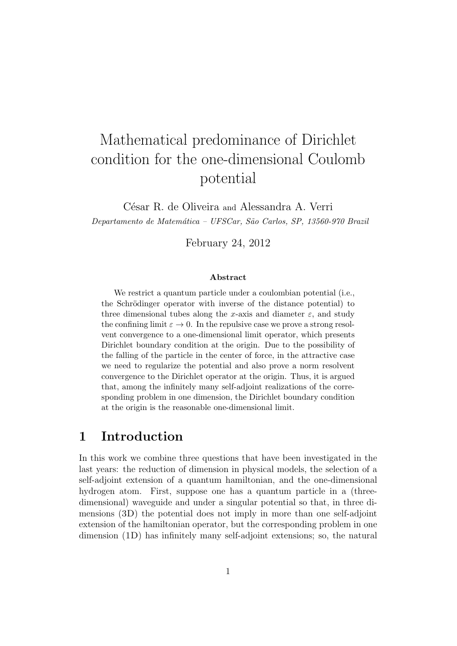# Mathematical predominance of Dirichlet condition for the one-dimensional Coulomb potential

César R. de Oliveira and Alessandra A. Verri

Departamento de Matemática - UFSCar, São Carlos, SP, 13560-970 Brazil

February 24, 2012

#### Abstract

We restrict a quantum particle under a coulombian potential (i.e., the Schrödinger operator with inverse of the distance potential) to three dimensional tubes along the x-axis and diameter  $\varepsilon$ , and study the confining limit  $\varepsilon \to 0$ . In the repulsive case we prove a strong resolvent convergence to a one-dimensional limit operator, which presents Dirichlet boundary condition at the origin. Due to the possibility of the falling of the particle in the center of force, in the attractive case we need to regularize the potential and also prove a norm resolvent convergence to the Dirichlet operator at the origin. Thus, it is argued that, among the infinitely many self-adjoint realizations of the corresponding problem in one dimension, the Dirichlet boundary condition at the origin is the reasonable one-dimensional limit.

# 1 Introduction

In this work we combine three questions that have been investigated in the last years: the reduction of dimension in physical models, the selection of a self-adjoint extension of a quantum hamiltonian, and the one-dimensional hydrogen atom. First, suppose one has a quantum particle in a (threedimensional) waveguide and under a singular potential so that, in three dimensions (3D) the potential does not imply in more than one self-adjoint extension of the hamiltonian operator, but the corresponding problem in one dimension (1D) has infinitely many self-adjoint extensions; so, the natural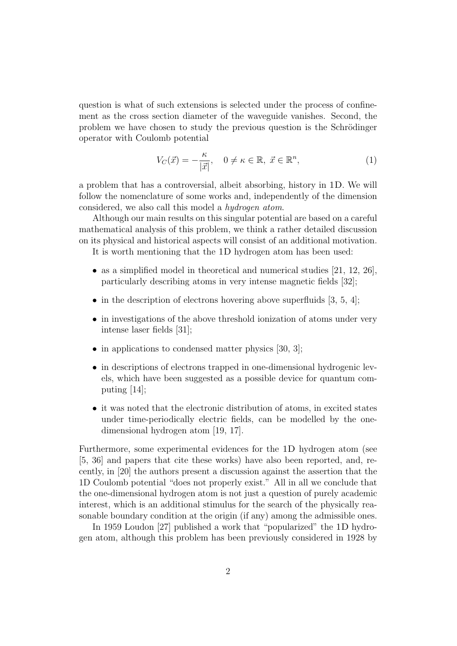question is what of such extensions is selected under the process of confinement as the cross section diameter of the waveguide vanishes. Second, the problem we have chosen to study the previous question is the Schrödinger operator with Coulomb potential

$$
V_C(\vec{x}) = -\frac{\kappa}{|\vec{x}|}, \quad 0 \neq \kappa \in \mathbb{R}, \ \vec{x} \in \mathbb{R}^n,
$$
 (1)

a problem that has a controversial, albeit absorbing, history in 1D. We will follow the nomenclature of some works and, independently of the dimension considered, we also call this model a hydrogen atom.

Although our main results on this singular potential are based on a careful mathematical analysis of this problem, we think a rather detailed discussion on its physical and historical aspects will consist of an additional motivation.

It is worth mentioning that the 1D hydrogen atom has been used:

- as a simplified model in theoretical and numerical studies  $[21, 12, 26]$ , particularly describing atoms in very intense magnetic fields [32];
- in the description of electrons hovering above superfluids  $[3, 5, 4]$ ;
- in investigations of the above threshold ionization of atoms under very intense laser fields [31];
- in applications to condensed matter physics [30, 3];
- in descriptions of electrons trapped in one-dimensional hydrogenic levels, which have been suggested as a possible device for quantum computing [14];
- it was noted that the electronic distribution of atoms, in excited states under time-periodically electric fields, can be modelled by the onedimensional hydrogen atom [19, 17].

Furthermore, some experimental evidences for the 1D hydrogen atom (see [5, 36] and papers that cite these works) have also been reported, and, recently, in [20] the authors present a discussion against the assertion that the 1D Coulomb potential "does not properly exist." All in all we conclude that the one-dimensional hydrogen atom is not just a question of purely academic interest, which is an additional stimulus for the search of the physically reasonable boundary condition at the origin (if any) among the admissible ones.

In 1959 Loudon [27] published a work that "popularized" the 1D hydrogen atom, although this problem has been previously considered in 1928 by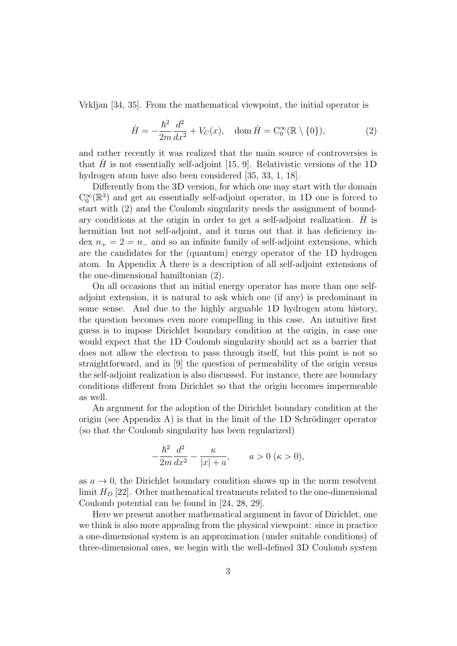Vrkljan [34, 35]. From the mathematical viewpoint, the initial operator is

$$
\dot{H} = -\frac{\hbar^2}{2m} \frac{d^2}{dx^2} + V_C(x), \quad \text{dom}\,\dot{H} = \mathcal{C}_0^{\infty}(\mathbb{R} \setminus \{0\}),\tag{2}
$$

and rather recently it was realized that the main source of controversies is that  $\dot{H}$  is not essentially self-adjoint [15, 9]. Relativistic versions of the 1D hydrogen atom have also been considered [35, 33, 1, 18].

Differently from the 3D version, for which one may start with the domain  $C_0^{\infty}(\mathbb{R}^3)$  and get an essentially self-adjoint operator, in 1D one is forced to start with (2) and the Coulomb singularity needs the assignment of boundary conditions at the origin in order to get a self-adjoint realization.  $\dot{H}$  is hermitian but not self-adjoint, and it turns out that it has deficiency in- $\text{dex } n_{+} = 2 = n_{-}$  and so an infinite family of self-adjoint extensions, which are the candidates for the (quantum) energy operator of the 1D hydrogen atom. In Appendix A there is a description of all self-adjoint extensions of the one-dimensional hamiltonian (2).

On all occasions that an initial energy operator has more than one selfadjoint extension, it is natural to ask which one (if any) is predominant in some sense. And due to the highly arguable 1D hydrogen atom history, the question becomes even more compelling in this case. An intuitive first guess is to impose Dirichlet boundary condition at the origin, in case one would expect that the 1D Coulomb singularity should act as a barrier that does not allow the electron to pass through itself, but this point is not so straightforward, and in [9] the question of permeability of the origin versus the self-adjoint realization is also discussed. For instance, there are boundary conditions different from Dirichlet so that the origin becomes impermeable as well.

An argument for the adoption of the Dirichlet boundary condition at the origin (see Appendix A) is that in the limit of the 1D Schrödinger operator (so that the Coulomb singularity has been regularized)

$$
-\frac{\hbar^2}{2m}\frac{d^2}{dx^2} - \frac{\kappa}{|x|+a}, \qquad a > 0 \ (\kappa > 0),
$$

as  $a \to 0$ , the Dirichlet boundary condition shows up in the norm resolvent limit  $H_D$  [22]. Other mathematical treatments related to the one-dimensional Coulomb potential can be found in [24, 28, 29].

Here we present another mathematical argument in favor of Dirichlet, one we think is also more appealing from the physical viewpoint: since in practice a one-dimensional system is an approximation (under suitable conditions) of three-dimensional ones, we begin with the well-defined 3D Coulomb system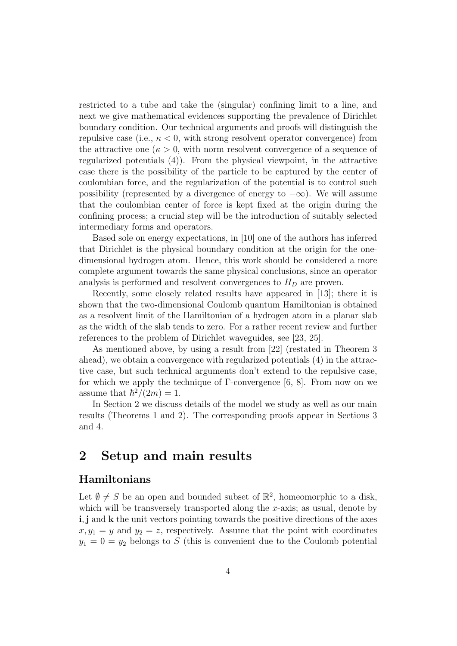restricted to a tube and take the (singular) confining limit to a line, and next we give mathematical evidences supporting the prevalence of Dirichlet boundary condition. Our technical arguments and proofs will distinguish the repulsive case (i.e.,  $\kappa < 0$ , with strong resolvent operator convergence) from the attractive one  $(\kappa > 0$ , with norm resolvent convergence of a sequence of regularized potentials (4)). From the physical viewpoint, in the attractive case there is the possibility of the particle to be captured by the center of coulombian force, and the regularization of the potential is to control such possibility (represented by a divergence of energy to  $-\infty$ ). We will assume that the coulombian center of force is kept fixed at the origin during the confining process; a crucial step will be the introduction of suitably selected intermediary forms and operators.

Based sole on energy expectations, in [10] one of the authors has inferred that Dirichlet is the physical boundary condition at the origin for the onedimensional hydrogen atom. Hence, this work should be considered a more complete argument towards the same physical conclusions, since an operator analysis is performed and resolvent convergences to  $H_D$  are proven.

Recently, some closely related results have appeared in [13]; there it is shown that the two-dimensional Coulomb quantum Hamiltonian is obtained as a resolvent limit of the Hamiltonian of a hydrogen atom in a planar slab as the width of the slab tends to zero. For a rather recent review and further references to the problem of Dirichlet waveguides, see [23, 25].

As mentioned above, by using a result from [22] (restated in Theorem 3 ahead), we obtain a convergence with regularized potentials (4) in the attractive case, but such technical arguments don't extend to the repulsive case, for which we apply the technique of Γ-convergence [6, 8]. From now on we assume that  $\hbar^2/(2m) = 1$ .

In Section 2 we discuss details of the model we study as well as our main results (Theorems 1 and 2). The corresponding proofs appear in Sections 3 and 4.

# 2 Setup and main results

### Hamiltonians

Let  $\emptyset \neq S$  be an open and bounded subset of  $\mathbb{R}^2$ , homeomorphic to a disk, which will be transversely transported along the  $x$ -axis; as usual, denote by i, j and k the unit vectors pointing towards the positive directions of the axes  $x, y_1 = y$  and  $y_2 = z$ , respectively. Assume that the point with coordinates  $y_1 = 0 = y_2$  belongs to S (this is convenient due to the Coulomb potential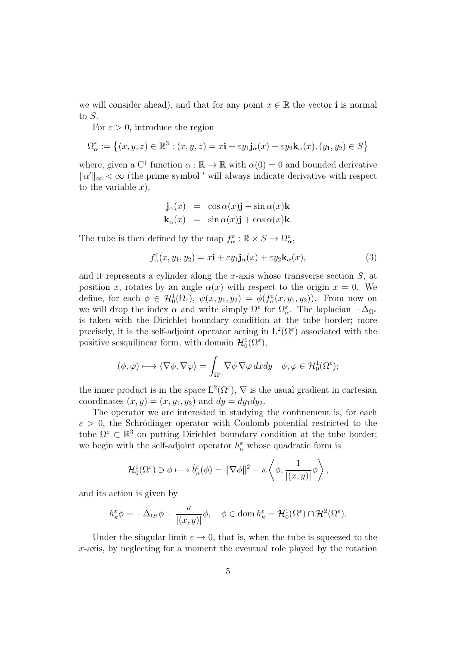we will consider ahead), and that for any point  $x \in \mathbb{R}$  the vector **i** is normal to S.

For  $\varepsilon > 0$ , introduce the region

$$
\Omega_{\alpha}^{\varepsilon}:=\left\{(x,y,z)\in\mathbb{R}^3:(x,y,z)=x\mathbf{i}+\varepsilon y_1\mathbf{j}_{\alpha}(x)+\varepsilon y_2\mathbf{k}_{\alpha}(x),(y_1,y_2)\in S\right\}
$$

where, given a C<sup>1</sup> function  $\alpha : \mathbb{R} \to \mathbb{R}$  with  $\alpha(0) = 0$  and bounded derivative  $\|\alpha'\|_{\infty} < \infty$  (the prime symbol ' will always indicate derivative with respect to the variable  $x$ ),

$$
\mathbf{j}_{\alpha}(x) = \cos \alpha(x)\mathbf{j} - \sin \alpha(x)\mathbf{k}
$$
  

$$
\mathbf{k}_{\alpha}(x) = \sin \alpha(x)\mathbf{j} + \cos \alpha(x)\mathbf{k}.
$$

The tube is then defined by the map  $f_{\alpha}^{\varepsilon} : \mathbb{R} \times S \to \Omega_{\alpha}^{\varepsilon}$ ,

$$
f_{\alpha}^{\varepsilon}(x, y_1, y_2) = x\mathbf{i} + \varepsilon y_1 \mathbf{j}_{\alpha}(x) + \varepsilon y_2 \mathbf{k}_{\alpha}(x), \tag{3}
$$

and it represents a cylinder along the x-axis whose transverse section  $S$ , at position x, rotates by an angle  $\alpha(x)$  with respect to the origin  $x = 0$ . We define, for each  $\phi \in \mathcal{H}_0^1(\Omega_\varepsilon)$ ,  $\psi(x, y_1, y_2) = \phi(f_\alpha^\varepsilon(x, y_1, y_2))$ . From now on we will drop the index  $\alpha$  and write simply  $\Omega^{\varepsilon}$  for  $\Omega^{\varepsilon}_{\alpha}$ . The laplacian  $-\Delta_{\Omega^{\varepsilon}}$ is taken with the Dirichlet boundary condition at the tube border; more precisely, it is the self-adjoint operator acting in  $L^2(\Omega^{\varepsilon})$  associated with the positive sesquilinear form, with domain  $\mathcal{H}_0^1(\Omega^{\varepsilon})$ ,

$$
(\phi, \varphi) \longmapsto \langle \nabla \phi, \nabla \varphi \rangle = \int_{\Omega^{\varepsilon}} \overline{\nabla \phi} \, \nabla \varphi \, dx dy \quad \phi, \varphi \in \mathcal{H}_0^1(\Omega^{\varepsilon});
$$

the inner product is in the space  $L^2(\Omega^{\varepsilon})$ ,  $\nabla$  is the usual gradient in cartesian coordinates  $(x, y) = (x, y_1, y_2)$  and  $dy = dy_1 dy_2$ .

The operator we are interested in studying the confinement is, for each  $\varepsilon > 0$ , the Schrödinger operator with Coulomb potential restricted to the tube  $\Omega^{\varepsilon} \subset \mathbb{R}^3$  on putting Dirichlet boundary condition at the tube border; we begin with the self-adjoint operator  $h_{\kappa}^{\varepsilon}$  whose quadratic form is

$$
\mathcal{H}_0^1(\Omega^{\varepsilon}) \ni \phi \longmapsto \tilde{b}_{\kappa}^{\varepsilon}(\phi) = \|\nabla \phi\|^2 - \kappa \left\langle \phi, \frac{1}{|(x, y)|} \phi \right\rangle,
$$

and its action is given by

$$
h_{\kappa}^{\varepsilon} \phi = -\Delta_{\Omega^{\varepsilon}} \phi - \frac{\kappa}{|(x, y)|} \phi, \quad \phi \in \text{dom } h_{\kappa}^{\varepsilon} = \mathcal{H}_0^1(\Omega^{\varepsilon}) \cap \mathcal{H}^2(\Omega^{\varepsilon}).
$$

Under the singular limit  $\varepsilon \to 0$ , that is, when the tube is squeezed to the x-axis, by neglecting for a moment the eventual role played by the rotation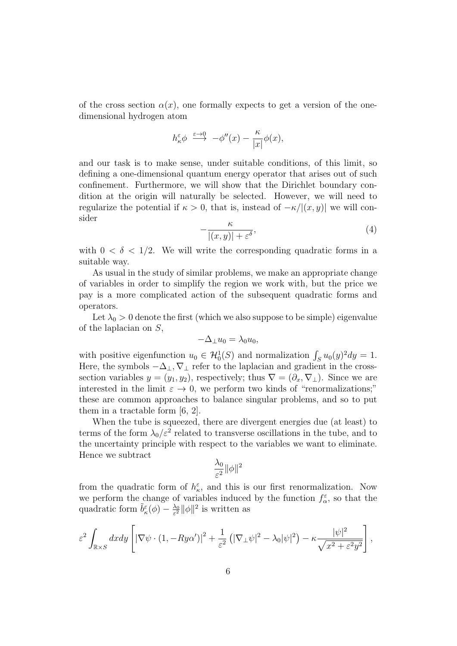of the cross section  $\alpha(x)$ , one formally expects to get a version of the onedimensional hydrogen atom

$$
h_{\kappa}^{\varepsilon} \phi \ \xrightarrow{\varepsilon \to 0} \ -\phi''(x) - \frac{\kappa}{|x|} \phi(x),
$$

and our task is to make sense, under suitable conditions, of this limit, so defining a one-dimensional quantum energy operator that arises out of such confinement. Furthermore, we will show that the Dirichlet boundary condition at the origin will naturally be selected. However, we will need to regularize the potential if  $\kappa > 0$ , that is, instead of  $-\kappa/|(x, y)|$  we will consider

$$
-\frac{\kappa}{|(x,y)| + \varepsilon^{\delta}},\tag{4}
$$

with  $0 < \delta < 1/2$ . We will write the corresponding quadratic forms in a suitable way.

As usual in the study of similar problems, we make an appropriate change of variables in order to simplify the region we work with, but the price we pay is a more complicated action of the subsequent quadratic forms and operators.

Let  $\lambda_0 > 0$  denote the first (which we also suppose to be simple) eigenvalue of the laplacian on S,

$$
-\Delta_{\perp}u_0 = \lambda_0 u_0,
$$

with positive eigenfunction  $u_0 \in \mathcal{H}_0^1(S)$  and normalization  $\int_S u_0(y)^2 dy = 1$ . Here, the symbols  $-\Delta_{\perp}$ ,  $\nabla_{\perp}$  refer to the laplacian and gradient in the crosssection variables  $y = (y_1, y_2)$ , respectively; thus  $\nabla = (\partial_x, \nabla_\perp)$ . Since we are interested in the limit  $\varepsilon \to 0$ , we perform two kinds of "renormalizations;" these are common approaches to balance singular problems, and so to put them in a tractable form [6, 2].

When the tube is squeezed, there are divergent energies due (at least) to terms of the form  $\lambda_0/\varepsilon^2$  related to transverse oscillations in the tube, and to the uncertainty principle with respect to the variables we want to eliminate. Hence we subtract

$$
\frac{\lambda_0}{\varepsilon^2} \|\phi\|^2
$$

from the quadratic form of  $h_{\kappa}^{\varepsilon}$ , and this is our first renormalization. Now we perform the change of variables induced by the function  $f_{\alpha}^{\varepsilon}$ , so that the quadratic form  $\tilde{b}^{\varepsilon}_{\kappa}(\phi) - \frac{\lambda_0}{\varepsilon^2}$  $\frac{\lambda_0}{\varepsilon^2} ||\phi||^2$  is written as

$$
\varepsilon^2 \int_{\mathbb{R}\times S} dxdy \left[ |\nabla \psi \cdot (1, -Ry\alpha')|^2 + \frac{1}{\varepsilon^2} \left( |\nabla_\perp \psi|^2 - \lambda_0 |\psi|^2 \right) - \kappa \frac{|\psi|^2}{\sqrt{x^2 + \varepsilon^2 y^2}} \right],
$$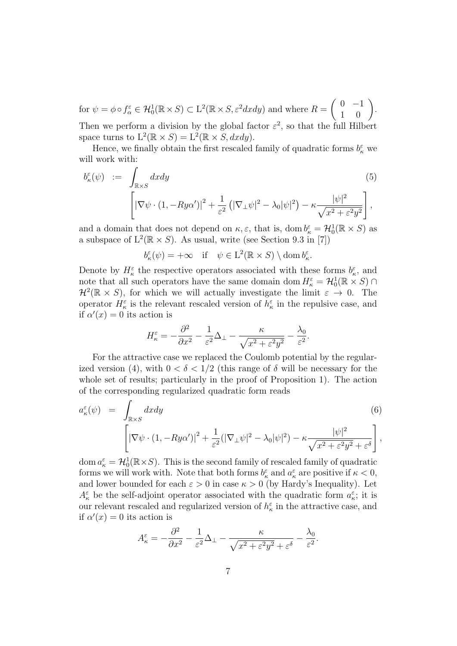$\text{for } \psi = \phi \circ f_{\alpha}^{\varepsilon} \in \mathcal{H}_0^1(\mathbb{R} \times S) \subset \mathrm{L}^2(\mathbb{R} \times S, \varepsilon^2 dx dy) \text{ and where } R = \begin{pmatrix} 0 & -1 \\ 1 & 0 \end{pmatrix}.$ Then we perform a division by the global factor  $\varepsilon^2$ , so that the full Hilbert

space turns to  $L^2(\mathbb{R} \times S) = L^2(\mathbb{R} \times S, dxdy)$ .

Hence, we finally obtain the first rescaled family of quadratic forms  $b_{\kappa}^{\varepsilon}$  we will work with:

$$
b_{\kappa}^{\varepsilon}(\psi) := \int_{\mathbb{R}\times S} dxdy
$$
\n
$$
\left[ |\nabla \psi \cdot (1, -Ry\alpha')|^2 + \frac{1}{\varepsilon^2} \left( |\nabla_{\perp} \psi|^2 - \lambda_0 |\psi|^2 \right) - \kappa \frac{|\psi|^2}{\sqrt{x^2 + \varepsilon^2 y^2}} \right],
$$
\n(5)

and a domain that does not depend on  $\kappa, \varepsilon$ , that is, dom  $b_{\kappa}^{\varepsilon} = \mathcal{H}_0^1(\mathbb{R} \times S)$  as a subspace of  $L^2(\mathbb{R} \times S)$ . As usual, write (see Section 9.3 in [7])

 $b_{\kappa}^{\varepsilon}(\psi) = +\infty \quad \text{if} \quad \psi \in L^2(\mathbb{R} \times S) \setminus \text{dom } b_{\kappa}^{\varepsilon}.$ 

Denote by  $H_{\kappa}^{\varepsilon}$  the respective operators associated with these forms  $b_{\kappa}^{\varepsilon}$ , and note that all such operators have the same domain dom  $H_{\kappa}^{\varepsilon} = \mathcal{H}_0^1(\mathbb{R} \times S) \cap$  $\mathcal{H}^2(\mathbb{R} \times S)$ , for which we will actually investigate the limit  $\varepsilon \to 0$ . The operator  $H_{\kappa}^{\varepsilon}$  is the relevant rescaled version of  $h_{\kappa}^{\varepsilon}$  in the repulsive case, and if  $\alpha'(x) = 0$  its action is

$$
H_{\kappa}^{\varepsilon} = -\frac{\partial^2}{\partial x^2} - \frac{1}{\varepsilon^2} \Delta_{\perp} - \frac{\kappa}{\sqrt{x^2 + \varepsilon^2 y^2}} - \frac{\lambda_0}{\varepsilon^2}.
$$

For the attractive case we replaced the Coulomb potential by the regularized version (4), with  $0 < \delta < 1/2$  (this range of  $\delta$  will be necessary for the whole set of results; particularly in the proof of Proposition 1). The action of the corresponding regularized quadratic form reads

$$
a_{\kappa}^{\varepsilon}(\psi) = \int_{\mathbb{R}\times S} dxdy
$$
\n
$$
\left[ |\nabla \psi \cdot (1, -Ry\alpha')|^2 + \frac{1}{\varepsilon^2} (|\nabla_{\perp} \psi|^2 - \lambda_0 |\psi|^2) - \kappa \frac{|\psi|^2}{\sqrt{x^2 + \varepsilon^2 y^2} + \varepsilon^{\delta}} \right],
$$
\n(6)

dom  $a_{\kappa}^{\varepsilon} = \mathcal{H}_0^1(\mathbb{R} \times S)$ . This is the second family of rescaled family of quadratic forms we will work with. Note that both forms  $b_{\kappa}^{\varepsilon}$  and  $a_{\kappa}^{\varepsilon}$  are positive if  $\kappa < 0$ , and lower bounded for each  $\varepsilon > 0$  in case  $\kappa > 0$  (by Hardy's Inequality). Let  $A_{\kappa}^{\varepsilon}$  be the self-adjoint operator associated with the quadratic form  $a_{\kappa}^{\varepsilon}$ ; it is our relevant rescaled and regularized version of  $h_{\kappa}^{\varepsilon}$  in the attractive case, and if  $\alpha'(x) = 0$  its action is

$$
A_{\kappa}^{\varepsilon} = -\frac{\partial^2}{\partial x^2} - \frac{1}{\varepsilon^2} \Delta_{\perp} - \frac{\kappa}{\sqrt{x^2 + \varepsilon^2 y^2} + \varepsilon^{\delta}} - \frac{\lambda_0}{\varepsilon^2}.
$$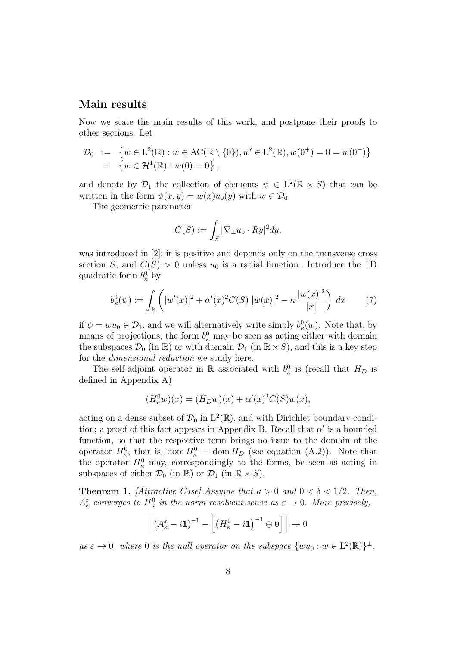### Main results

Now we state the main results of this work, and postpone their proofs to other sections. Let

$$
\mathcal{D}_0 := \{ w \in L^2(\mathbb{R}) : w \in \mathrm{AC}(\mathbb{R} \setminus \{0\}), w' \in L^2(\mathbb{R}), w(0^+) = 0 = w(0^-) \}
$$
  
=  $\{ w \in \mathcal{H}^1(\mathbb{R}) : w(0) = 0 \},$ 

and denote by  $\mathcal{D}_1$  the collection of elements  $\psi \in L^2(\mathbb{R} \times S)$  that can be written in the form  $\psi(x, y) = w(x)u_0(y)$  with  $w \in \mathcal{D}_0$ .

The geometric parameter

$$
C(S) := \int_S |\nabla_\perp u_0 \cdot Ry|^2 dy,
$$

was introduced in [2]; it is positive and depends only on the transverse cross section S, and  $C(S) > 0$  unless  $u_0$  is a radial function. Introduce the 1D quadratic form  $b_{\kappa}^0$  by

$$
b_{\kappa}^{0}(\psi) := \int_{\mathbb{R}} \left( |w'(x)|^{2} + \alpha'(x)^{2} C(S) |w(x)|^{2} - \kappa \frac{|w(x)|^{2}}{|x|} \right) dx \tag{7}
$$

if  $\psi = w u_0 \in \mathcal{D}_1$ , and we will alternatively write simply  $b_{\kappa}^0(w)$ . Note that, by means of projections, the form  $b_{\kappa}^0$  may be seen as acting either with domain the subspaces  $\mathcal{D}_0$  (in  $\mathbb{R}$ ) or with domain  $\mathcal{D}_1$  (in  $\mathbb{R} \times S$ ), and this is a key step for the dimensional reduction we study here.

The self-adjoint operator in  $\mathbb R$  associated with  $b_{\kappa}^0$  is (recall that  $H_D$  is defined in Appendix A)

$$
(H_{\kappa}^{0}w)(x) = (H_{D}w)(x) + \alpha'(x)^{2}C(S)w(x),
$$

acting on a dense subset of  $\mathcal{D}_0$  in  $L^2(\mathbb{R})$ , and with Dirichlet boundary condition; a proof of this fact appears in Appendix B. Recall that  $\alpha'$  is a bounded function, so that the respective term brings no issue to the domain of the operator  $H_{\kappa}^0$ , that is, dom  $H_{\kappa}^0 = \text{dom } H_D$  (see equation (A.2)). Note that the operator  $H_{\kappa}^{0}$  may, correspondingly to the forms, be seen as acting in subspaces of either  $\mathcal{D}_0$  (in  $\mathbb{R}$ ) or  $\mathcal{D}_1$  (in  $\mathbb{R} \times S$ ).

**Theorem 1.** [Attractive Case] Assume that  $\kappa > 0$  and  $0 < \delta < 1/2$ . Then,  $A_{\kappa}^{\varepsilon}$  converges to  $H_{\kappa}^{0}$  in the norm resolvent sense as  $\varepsilon \to 0$ . More precisely,

$$
\left\| \left( A_{\kappa}^{\varepsilon} - i \mathbf{1} \right)^{-1} - \left[ \left( H_{\kappa}^{0} - i \mathbf{1} \right)^{-1} \oplus 0 \right] \right\| \to 0
$$

as  $\varepsilon \to 0$ , where 0 is the null operator on the subspace  $\{wu_0 : w \in L^2(\mathbb{R})\}^{\perp}$ .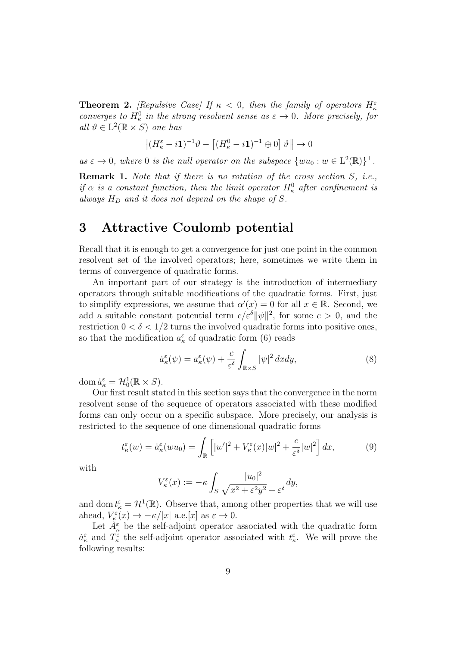**Theorem 2.** [Repulsive Case] If  $\kappa$  < 0, then the family of operators  $H_{\kappa}^{\varepsilon}$ converges to  $H_{\kappa}^0$  in the strong resolvent sense as  $\varepsilon \to 0$ . More precisely, for all  $\vartheta \in L^2(\mathbb{R} \times S)$  one has

$$
\left\| (H_{\kappa}^{\varepsilon} - i\mathbf{1})^{-1} \vartheta - \left[ (H_{\kappa}^{0} - i\mathbf{1})^{-1} \oplus 0 \right] \vartheta \right\| \to 0
$$

 $as \varepsilon \to 0$ , where 0 is the null operator on the subspace  $\{wu_0 : w \in L^2(\mathbb{R})\}^{\perp}$ .

**Remark 1.** Note that if there is no rotation of the cross section S, i.e., if  $\alpha$  is a constant function, then the limit operator  $H_{\kappa}^0$  after confinement is always  $H_D$  and it does not depend on the shape of S.

## 3 Attractive Coulomb potential

Recall that it is enough to get a convergence for just one point in the common resolvent set of the involved operators; here, sometimes we write them in terms of convergence of quadratic forms.

An important part of our strategy is the introduction of intermediary operators through suitable modifications of the quadratic forms. First, just to simplify expressions, we assume that  $\alpha'(x) = 0$  for all  $x \in \mathbb{R}$ . Second, we add a suitable constant potential term  $c/\varepsilon^{\delta} ||\psi||^2$ , for some  $c > 0$ , and the restriction  $0 < \delta < 1/2$  turns the involved quadratic forms into positive ones, so that the modification  $a_{\kappa}^{\varepsilon}$  of quadratic form (6) reads

$$
\dot{a}_{\kappa}^{\varepsilon}(\psi) = a_{\kappa}^{\varepsilon}(\psi) + \frac{c}{\varepsilon^{\delta}} \int_{\mathbb{R} \times S} |\psi|^2 \, dx dy,\tag{8}
$$

dom  $\dot{a}_{\kappa}^{\varepsilon} = \mathcal{H}_0^1(\mathbb{R} \times S)$ .

Our first result stated in this section says that the convergence in the norm resolvent sense of the sequence of operators associated with these modified forms can only occur on a specific subspace. More precisely, our analysis is restricted to the sequence of one dimensional quadratic forms

$$
t_{\kappa}^{\varepsilon}(w) = \dot{a}_{\kappa}^{\varepsilon}(wu_0) = \int_{\mathbb{R}} \left[ |w'|^2 + V_{\kappa}^{\varepsilon}(x)|w|^2 + \frac{c}{\varepsilon^{\delta}}|w|^2 \right] dx,\tag{9}
$$

with

$$
V_{\kappa}^{\varepsilon}(x) := -\kappa \int_{S} \frac{|u_{0}|^{2}}{\sqrt{x^{2} + \varepsilon^{2}y^{2}} + \varepsilon^{\delta}} dy,
$$

and dom  $t_{\kappa}^{\varepsilon} = \mathcal{H}^{1}(\mathbb{R})$ . Observe that, among other properties that we will use ahead,  $V_{\kappa}^{\varepsilon}(x) \to -\kappa/|x|$  a.e.[x] as  $\varepsilon \to 0$ .

Let  $A_{\kappa}^{\varepsilon}$  be the self-adjoint operator associated with the quadratic form  $\dot{a}_{\kappa}^{\varepsilon}$  and  $T_{\kappa}^{\varepsilon}$  the self-adjoint operator associated with  $t_{\kappa}^{\varepsilon}$ . We will prove the following results: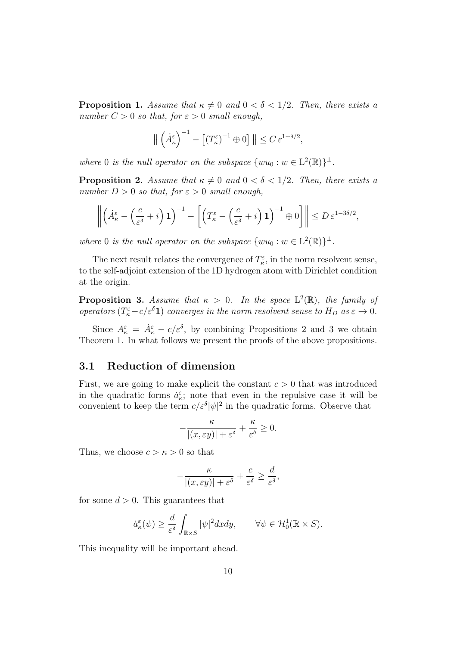**Proposition 1.** Assume that  $\kappa \neq 0$  and  $0 < \delta < 1/2$ . Then, there exists a number  $C > 0$  so that, for  $\varepsilon > 0$  small enough,

$$
\left\| \left( \dot{A}_{\kappa}^{\varepsilon} \right)^{-1} - \left[ \left( T_{\kappa}^{\varepsilon} \right)^{-1} \oplus 0 \right] \right\| \leq C \, \varepsilon^{1 + \delta/2},
$$

where 0 is the null operator on the subspace  $\{wu_0 : w \in L^2(\mathbb{R})\}^{\perp}$ .

**Proposition 2.** Assume that  $\kappa \neq 0$  and  $0 < \delta < 1/2$ . Then, there exists a number  $D > 0$  so that, for  $\varepsilon > 0$  small enough,

$$
\left\| \left( \dot{A}_\kappa^\varepsilon - \left( \frac{c}{\varepsilon^\delta} + i \right) \mathbf{1} \right)^{-1} - \left[ \left( T_\kappa^\varepsilon - \left( \frac{c}{\varepsilon^\delta} + i \right) \mathbf{1} \right)^{-1} \oplus 0 \right] \right\| \leq D \, \varepsilon^{1 - 3\delta/2},
$$

where 0 is the null operator on the subspace  $\{wu_0 : w \in L^2(\mathbb{R})\}^{\perp}$ .

The next result relates the convergence of  $T_{\kappa}^{\varepsilon}$ , in the norm resolvent sense, to the self-adjoint extension of the 1D hydrogen atom with Dirichlet condition at the origin.

**Proposition 3.** Assume that  $\kappa > 0$ . In the space  $L^2(\mathbb{R})$ , the family of operators  $(T_{\kappa}^{\varepsilon} - c/\varepsilon^{\delta} \mathbf{1})$  converges in the norm resolvent sense to  $H_D$  as  $\varepsilon \to 0$ .

Since  $A_{\kappa}^{\varepsilon} = \dot{A}_{\kappa}^{\varepsilon} - c/\varepsilon^{\delta}$ , by combining Propositions 2 and 3 we obtain Theorem 1. In what follows we present the proofs of the above propositions.

### 3.1 Reduction of dimension

First, we are going to make explicit the constant  $c > 0$  that was introduced in the quadratic forms  $\dot{a}_{\kappa}^{\varepsilon}$ ; note that even in the repulsive case it will be convenient to keep the term  $c/\varepsilon^{\delta}|\psi|^2$  in the quadratic forms. Observe that

$$
-\frac{\kappa}{|(x,\varepsilon y)|+\varepsilon^\delta}+\frac{\kappa}{\varepsilon^\delta}\geq 0.
$$

Thus, we choose  $c > \kappa > 0$  so that

$$
-\frac{\kappa}{|(x,\varepsilon y)|+\varepsilon^\delta}+\frac{c}{\varepsilon^\delta}\geq \frac{d}{\varepsilon^\delta},
$$

for some  $d > 0$ . This guarantees that

$$
\dot{a}_{\kappa}^{\varepsilon}(\psi) \ge \frac{d}{\varepsilon^{\delta}} \int_{\mathbb{R} \times S} |\psi|^2 dx dy, \qquad \forall \psi \in \mathcal{H}_0^1(\mathbb{R} \times S).
$$

This inequality will be important ahead.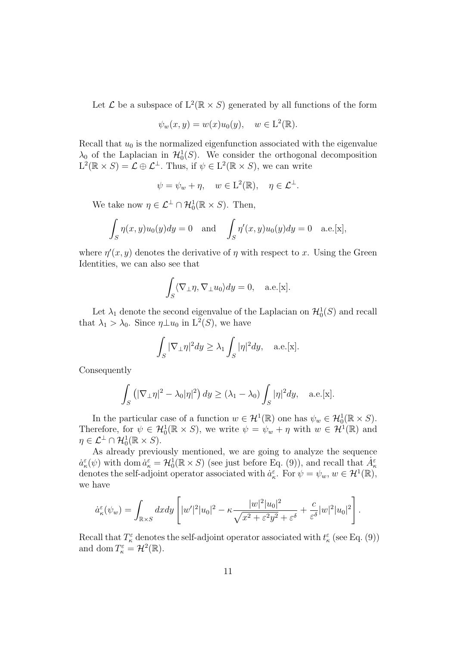Let  $\mathcal L$  be a subspace of  $L^2(\mathbb R \times S)$  generated by all functions of the form

$$
\psi_w(x, y) = w(x)u_0(y), \quad w \in \mathcal{L}^2(\mathbb{R}).
$$

Recall that  $u_0$  is the normalized eigenfunction associated with the eigenvalue  $\lambda_0$  of the Laplacian in  $\mathcal{H}_0^1(S)$ . We consider the orthogonal decomposition  $L^2(\mathbb{R} \times S) = \mathcal{L} \oplus \mathcal{L}^{\perp}$ . Thus, if  $\psi \in L^2(\mathbb{R} \times S)$ , we can write

$$
\psi = \psi_w + \eta, \quad w \in L^2(\mathbb{R}), \quad \eta \in \mathcal{L}^{\perp}.
$$

We take now  $\eta \in \mathcal{L}^{\perp} \cap \mathcal{H}_0^1(\mathbb{R} \times S)$ . Then,

$$
\int_{S} \eta(x, y)u_0(y)dy = 0 \text{ and } \int_{S} \eta'(x, y)u_0(y)dy = 0 \text{ a.e. } [x],
$$

where  $\eta'(x, y)$  denotes the derivative of  $\eta$  with respect to x. Using the Green Identities, we can also see that

$$
\int_{S} \langle \nabla_{\perp} \eta, \nabla_{\perp} u_0 \rangle dy = 0, \quad \text{a.e.}[\mathbf{x}].
$$

Let  $\lambda_1$  denote the second eigenvalue of the Laplacian on  $\mathcal{H}_0^1(S)$  and recall that  $\lambda_1 > \lambda_0$ . Since  $\eta \perp u_0$  in  $L^2(S)$ , we have

$$
\int_{S} |\nabla_{\perp} \eta|^2 dy \ge \lambda_1 \int_{S} |\eta|^2 dy, \quad \text{a.e.}[\mathbf{x}].
$$

Consequently

$$
\int_{S} \left( |\nabla_{\perp} \eta|^2 - \lambda_0 |\eta|^2 \right) dy \ge (\lambda_1 - \lambda_0) \int_{S} |\eta|^2 dy, \quad \text{a.e.}[\mathbf{x}].
$$

In the particular case of a function  $w \in \mathcal{H}^1(\mathbb{R})$  one has  $\psi_w \in \mathcal{H}_0^1(\mathbb{R} \times S)$ . Therefore, for  $\psi \in \mathcal{H}_0^1(\mathbb{R} \times S)$ , we write  $\psi = \psi_w + \eta$  with  $w \in \mathcal{H}^1(\mathbb{R})$  and  $\eta \in \mathcal{L}^{\perp} \cap \mathcal{H}_0^1(\mathbb{R} \times S).$ 

As already previously mentioned, we are going to analyze the sequence  $\dot{a}_{\kappa}^{\varepsilon}(\psi)$  with dom  $\dot{a}_{\kappa}^{\varepsilon} = \mathcal{H}_0^1(\mathbb{R} \times S)$  (see just before Eq. (9)), and recall that  $\dot{A}_{\kappa}^{\varepsilon}$ denotes the self-adjoint operator associated with  $a_{\kappa}^{\varepsilon}$ . For  $\psi = \psi_w, w \in \mathcal{H}^1(\mathbb{R})$ , we have

$$
\dot{a}_{\kappa}^{\varepsilon}(\psi_w) = \int_{\mathbb{R}\times S}dxdy\left[|w'|^2|u_0|^2 - \kappa \frac{|w|^2|u_0|^2}{\sqrt{x^2 + \varepsilon^2 y^2} + \varepsilon^{\delta}} + \frac{c}{\varepsilon^{\delta}}|w|^2|u_0|^2\right].
$$

Recall that  $T_{\kappa}^{\varepsilon}$  denotes the self-adjoint operator associated with  $t_{\kappa}^{\varepsilon}$  (see Eq. (9)) and dom  $T_{\kappa}^{\varepsilon} = \mathcal{H}^2(\mathbb{R})$ .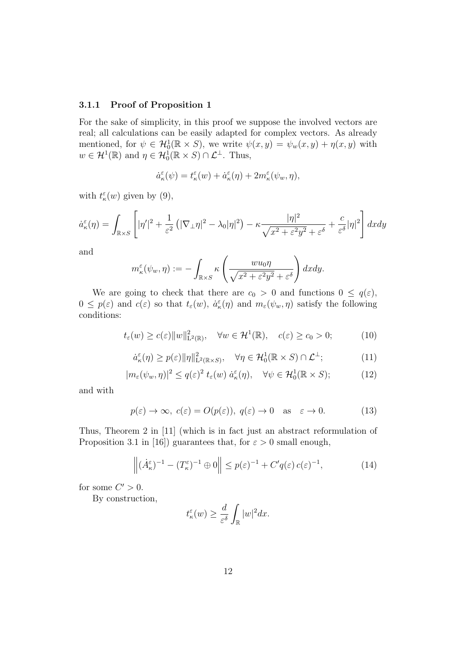#### 3.1.1 Proof of Proposition 1

For the sake of simplicity, in this proof we suppose the involved vectors are real; all calculations can be easily adapted for complex vectors. As already mentioned, for  $\psi \in \mathcal{H}_0^1(\mathbb{R} \times S)$ , we write  $\psi(x, y) = \psi_w(x, y) + \eta(x, y)$  with  $w \in \mathcal{H}^1(\mathbb{R})$  and  $\eta \in \mathcal{H}_0^1(\mathbb{R} \times S) \cap \mathcal{L}^\perp$ . Thus,

$$
\dot{a}^\varepsilon_\kappa(\psi)=t^\varepsilon_\kappa(w)+\dot{a}^\varepsilon_\kappa(\eta)+2m^\varepsilon_\kappa(\psi_w,\eta),
$$

with  $t_{\kappa}^{\varepsilon}(w)$  given by (9),

$$
\dot{a}_{\kappa}^{\varepsilon}(\eta) = \int_{\mathbb{R}\times S} \left[ |\eta'|^2 + \frac{1}{\varepsilon^2} \left( |\nabla_{\perp} \eta|^2 - \lambda_0 |\eta|^2 \right) - \kappa \frac{|\eta|^2}{\sqrt{x^2 + \varepsilon^2 y^2} + \varepsilon^{\delta}} + \frac{c}{\varepsilon^{\delta}} |\eta|^2 \right] dx dy
$$

and

$$
m_{\kappa}^{\varepsilon}(\psi_w, \eta) := -\int_{\mathbb{R} \times S} \kappa\left(\frac{w u_0 \eta}{\sqrt{x^2 + \varepsilon^2 y^2} + \varepsilon^{\delta}}\right) dx dy.
$$

We are going to check that there are  $c_0 > 0$  and functions  $0 \leq q(\varepsilon)$ ,  $0 \leq p(\varepsilon)$  and  $c(\varepsilon)$  so that  $t_{\varepsilon}(w)$ ,  $\dot{a}_{\kappa}^{\varepsilon}(\eta)$  and  $m_{\varepsilon}(\psi_w, \eta)$  satisfy the following conditions:

$$
t_{\varepsilon}(w) \ge c(\varepsilon) \|w\|_{\mathbf{L}^2(\mathbb{R})}^2, \quad \forall w \in \mathcal{H}^1(\mathbb{R}), \quad c(\varepsilon) \ge c_0 > 0;
$$
 (10)

$$
\dot{a}_{\kappa}^{\varepsilon}(\eta) \ge p(\varepsilon) \|\eta\|_{\mathcal{L}^{2}(\mathbb{R}\times S)}^{2}, \quad \forall \eta \in \mathcal{H}_{0}^{1}(\mathbb{R}\times S) \cap \mathcal{L}^{\perp};
$$
 (11)

$$
|m_{\varepsilon}(\psi_w, \eta)|^2 \le q(\varepsilon)^2 t_{\varepsilon}(w) \dot{a}_{\kappa}^{\varepsilon}(\eta), \quad \forall \psi \in \mathcal{H}_0^1(\mathbb{R} \times S); \tag{12}
$$

and with

$$
p(\varepsilon) \to \infty, c(\varepsilon) = O(p(\varepsilon)), q(\varepsilon) \to 0 \text{ as } \varepsilon \to 0.
$$
 (13)

Thus, Theorem 2 in [11] (which is in fact just an abstract reformulation of Proposition 3.1 in [16]) guarantees that, for  $\varepsilon > 0$  small enough,

$$
\left\| (\dot{A}_{\kappa}^{\varepsilon})^{-1} - (T_{\kappa}^{\varepsilon})^{-1} \oplus 0 \right\| \le p(\varepsilon)^{-1} + C'q(\varepsilon) c(\varepsilon)^{-1}, \tag{14}
$$

for some  $C' > 0$ .

By construction,

$$
t_{\kappa}^{\varepsilon}(w) \ge \frac{d}{\varepsilon^{\delta}} \int_{\mathbb{R}} |w|^2 dx.
$$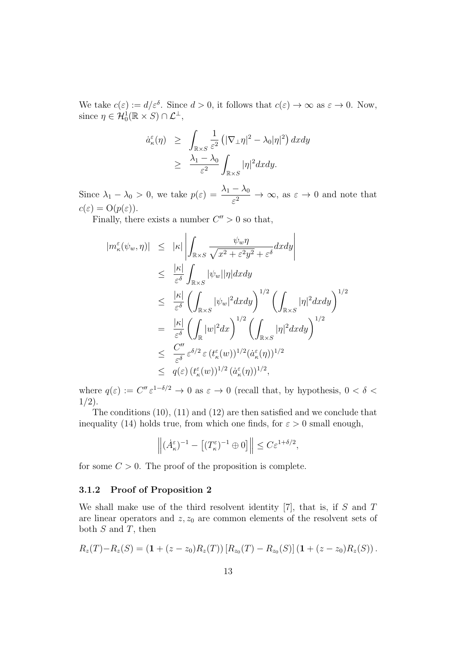We take  $c(\varepsilon) := d/\varepsilon^{\delta}$ . Since  $d > 0$ , it follows that  $c(\varepsilon) \to \infty$  as  $\varepsilon \to 0$ . Now, since  $\eta \in \mathcal{H}_0^1(\mathbb{R} \times S) \cap \mathcal{L}^\perp$ ,

$$
\dot{a}_{\kappa}^{\varepsilon}(\eta) \geq \int_{\mathbb{R}\times S} \frac{1}{\varepsilon^2} \left( |\nabla_{\perp} \eta|^2 - \lambda_0 |\eta|^2 \right) dx dy
$$

$$
\geq \frac{\lambda_1 - \lambda_0}{\varepsilon^2} \int_{\mathbb{R}\times S} |\eta|^2 dx dy.
$$

Since  $\lambda_1 - \lambda_0 > 0$ , we take  $p(\varepsilon) = \frac{\lambda_1 - \lambda_0}{\varepsilon^2} \to \infty$ , as  $\varepsilon \to 0$  and note that  $c(\varepsilon) = \mathrm{O}(p(\varepsilon)).$ 

Finally, there exists a number  $C'' > 0$  so that,

$$
|m_{\kappa}^{\varepsilon}(\psi_{w}, \eta)| \leq |\kappa| \left| \int_{\mathbb{R} \times S} \frac{\psi_{w} \eta}{\sqrt{x^{2} + \varepsilon^{2} y^{2}} + \varepsilon^{\delta}} dx dy \right|
$$
  
\n
$$
\leq \frac{|\kappa|}{\varepsilon^{\delta}} \int_{\mathbb{R} \times S} |\psi_{w}| |\eta| dx dy
$$
  
\n
$$
\leq \frac{|\kappa|}{\varepsilon^{\delta}} \left( \int_{\mathbb{R} \times S} |\psi_{w}|^{2} dx dy \right)^{1/2} \left( \int_{\mathbb{R} \times S} |\eta|^{2} dx dy \right)^{1/2}
$$
  
\n
$$
= \frac{|\kappa|}{\varepsilon^{\delta}} \left( \int_{\mathbb{R}} |w|^{2} dx \right)^{1/2} \left( \int_{\mathbb{R} \times S} |\eta|^{2} dx dy \right)^{1/2}
$$
  
\n
$$
\leq \frac{C''}{\varepsilon^{\delta}} \varepsilon^{\delta/2} \varepsilon (t_{\kappa}^{\varepsilon}(w))^{1/2} (\dot{a}_{\kappa}^{\varepsilon}(\eta))^{1/2}
$$
  
\n
$$
\leq q(\varepsilon) (t_{\kappa}^{\varepsilon}(w))^{1/2} (\dot{a}_{\kappa}^{\varepsilon}(\eta))^{1/2},
$$

where  $q(\varepsilon) := C'' \varepsilon^{1-\delta/2} \to 0$  as  $\varepsilon \to 0$  (recall that, by hypothesis,  $0 < \delta <$  $1/2$ ).

The conditions (10), (11) and (12) are then satisfied and we conclude that inequality (14) holds true, from which one finds, for  $\varepsilon > 0$  small enough,

$$
\left\| (\dot{A}_{\kappa}^{\varepsilon})^{-1} - \left[ (T_{\kappa}^{\varepsilon})^{-1} \oplus 0 \right] \right\| \le C \varepsilon^{1+\delta/2},
$$

for some  $C > 0$ . The proof of the proposition is complete.

#### 3.1.2 Proof of Proposition 2

We shall make use of the third resolvent identity  $[7]$ , that is, if S and T are linear operators and  $z, z_0$  are common elements of the resolvent sets of both  $S$  and  $T$ , then

$$
R_z(T) - R_z(S) = (1 + (z - z_0)R_z(T)) [R_{z_0}(T) - R_{z_0}(S)] (1 + (z - z_0)R_z(S)).
$$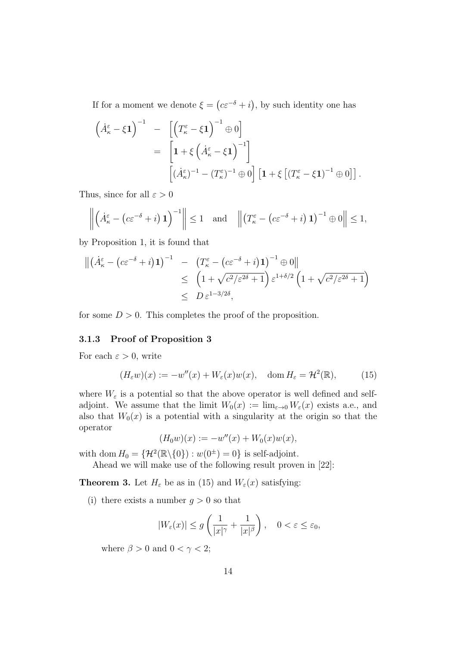If for a moment we denote  $\xi = (c\varepsilon^{-\delta} + i)$ , by such identity one has

$$
\begin{aligned}\n\left(\dot{A}_{\kappa}^{\varepsilon} - \xi \mathbf{1}\right)^{-1} &= \left[\left(T_{\kappa}^{\varepsilon} - \xi \mathbf{1}\right)^{-1} \oplus 0\right] \\
&= \left[\mathbf{1} + \xi \left(\dot{A}_{\kappa}^{\varepsilon} - \xi \mathbf{1}\right)^{-1}\right] \\
&\left[\left(\dot{A}_{\kappa}^{\varepsilon}\right)^{-1} - \left(T_{\kappa}^{\varepsilon}\right)^{-1} \oplus 0\right] \left[\mathbf{1} + \xi \left[\left(T_{\kappa}^{\varepsilon} - \xi \mathbf{1}\right)^{-1} \oplus 0\right]\right].\n\end{aligned}
$$

Thus, since for all  $\varepsilon > 0$ 

$$
\left\| \left( \dot{A}_{\kappa}^{\varepsilon} - \left( c \varepsilon^{-\delta} + i \right) \mathbf{1} \right)^{-1} \right\| \leq 1 \quad \text{and} \quad \left\| \left( T_{\kappa}^{\varepsilon} - \left( c \varepsilon^{-\delta} + i \right) \mathbf{1} \right)^{-1} \oplus 0 \right\| \leq 1,
$$

by Proposition 1, it is found that

$$
\begin{aligned} \left\| \left( \dot{A}_{\kappa}^{\varepsilon} - \left( c \varepsilon^{-\delta} + i \right) \mathbf{1} \right)^{-1} &- \left( T_{\kappa}^{\varepsilon} - \left( c \varepsilon^{-\delta} + i \right) \mathbf{1} \right)^{-1} \oplus 0 \right\| \\ &\leq \left( 1 + \sqrt{c^2 / \varepsilon^{2\delta} + 1} \right) \varepsilon^{1 + \delta/2} \left( 1 + \sqrt{c^2 / \varepsilon^{2\delta} + 1} \right) \\ &\leq D \varepsilon^{1 - 3/2\delta}, \end{aligned}
$$

for some  $D > 0$ . This completes the proof of the proposition.

#### 3.1.3 Proof of Proposition 3

For each  $\varepsilon > 0$ , write

$$
(H_{\varepsilon}w)(x) := -w''(x) + W_{\varepsilon}(x)w(x), \quad \text{dom}\, H_{\varepsilon} = \mathcal{H}^2(\mathbb{R}),\tag{15}
$$

where  $W_{\varepsilon}$  is a potential so that the above operator is well defined and selfadjoint. We assume that the limit  $W_0(x) := \lim_{\varepsilon \to 0} W_{\varepsilon}(x)$  exists a.e., and also that  $W_0(x)$  is a potential with a singularity at the origin so that the operator

$$
(H_0 w)(x) := -w''(x) + W_0(x)w(x),
$$

with dom  $H_0 = \{ \mathcal{H}^2(\mathbb{R} \setminus \{0\}) : w(0^{\pm}) = 0 \}$  is self-adjoint.

Ahead we will make use of the following result proven in [22]:

**Theorem 3.** Let  $H_{\varepsilon}$  be as in (15) and  $W_{\varepsilon}(x)$  satisfying:

(i) there exists a number  $q > 0$  so that

$$
|W_{\varepsilon}(x)| \le g\left(\frac{1}{|x|^{\gamma}} + \frac{1}{|x|^{\beta}}\right), \quad 0 < \varepsilon \le \varepsilon_0,
$$

where  $\beta > 0$  and  $0 < \gamma < 2$ ;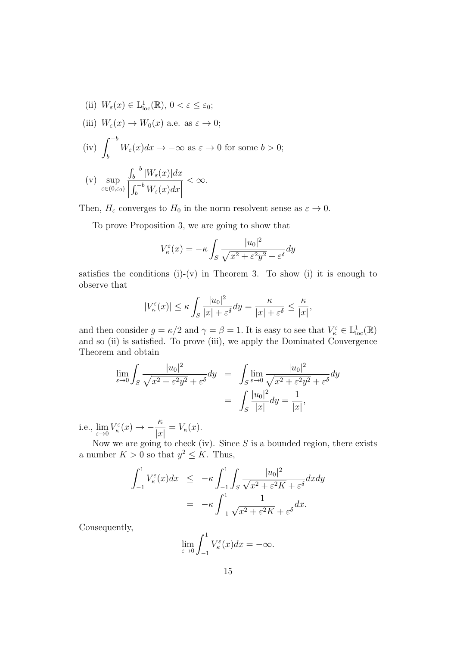(ii)  $W_{\varepsilon}(x) \in L^1_{loc}(\mathbb{R}), 0 < \varepsilon \leq \varepsilon_0;$ (iii)  $W_{\varepsilon}(x) \to W_0(x)$  a.e. as  $\varepsilon \to 0$ ;  $(iv)$   $\int^{-b}$ b  $W_{\varepsilon}(x)dx \to -\infty$  as  $\varepsilon \to 0$  for some  $b > 0$ ;  $(v)$  sup ε $\in$ (0,ε<sub>0</sub>)  $\int_b^{-b} |W_{\varepsilon}(x)| dx$  $\begin{array}{c} \begin{array}{c} \begin{array}{c} \end{array} \\ \begin{array}{c} \end{array} \end{array} \end{array}$  $\int_b^{-b} W_\varepsilon(x) dx$  $< \infty$ .

Then,  $H_{\varepsilon}$  converges to  $H_0$  in the norm resolvent sense as  $\varepsilon \to 0$ .

To prove Proposition 3, we are going to show that

$$
V_{\kappa}^{\varepsilon}(x) = -\kappa \int_{S} \frac{|u_{0}|^{2}}{\sqrt{x^{2} + \varepsilon^{2}y^{2}} + \varepsilon^{\delta}} dy
$$

satisfies the conditions  $(i)-(v)$  in Theorem 3. To show  $(i)$  it is enough to observe that

$$
|V_{\kappa}^{\varepsilon}(x)| \leq \kappa \int_{S} \frac{|u_{0}|^{2}}{|x| + \varepsilon^{\delta}} dy = \frac{\kappa}{|x| + \varepsilon^{\delta}} \leq \frac{\kappa}{|x|},
$$

and then consider  $g = \kappa/2$  and  $\gamma = \beta = 1$ . It is easy to see that  $V_{\kappa}^{\varepsilon} \in L^{1}_{loc}(\mathbb{R})$ and so (ii) is satisfied. To prove (iii), we apply the Dominated Convergence Theorem and obtain

$$
\lim_{\varepsilon \to 0} \int_S \frac{|u_0|^2}{\sqrt{x^2 + \varepsilon^2 y^2} + \varepsilon^\delta} dy = \int_S \lim_{\varepsilon \to 0} \frac{|u_0|^2}{\sqrt{x^2 + \varepsilon^2 y^2} + \varepsilon^\delta} dy
$$

$$
= \int_S \frac{|u_0|^2}{|x|} dy = \frac{1}{|x|},
$$

i.e.,  $\lim_{\varepsilon \to 0} V_{\kappa}^{\varepsilon}(x) \to -\frac{\kappa}{|x|}$  $\frac{\partial}{|x|} = V_{\kappa}(x).$ 

Now we are going to check (iv). Since  $S$  is a bounded region, there exists a number  $K > 0$  so that  $y^2 \leq K$ . Thus,

$$
\int_{-1}^{1} V_{\kappa}^{\varepsilon}(x) dx \le -\kappa \int_{-1}^{1} \int_{S} \frac{|u_{0}|^{2}}{\sqrt{x^{2} + \varepsilon^{2} K} + \varepsilon^{\delta}} dx dy
$$

$$
= -\kappa \int_{-1}^{1} \frac{1}{\sqrt{x^{2} + \varepsilon^{2} K} + \varepsilon^{\delta}} dx.
$$

Consequently,

$$
\lim_{\varepsilon \to 0} \int_{-1}^{1} V_{\kappa}^{\varepsilon}(x) dx = -\infty.
$$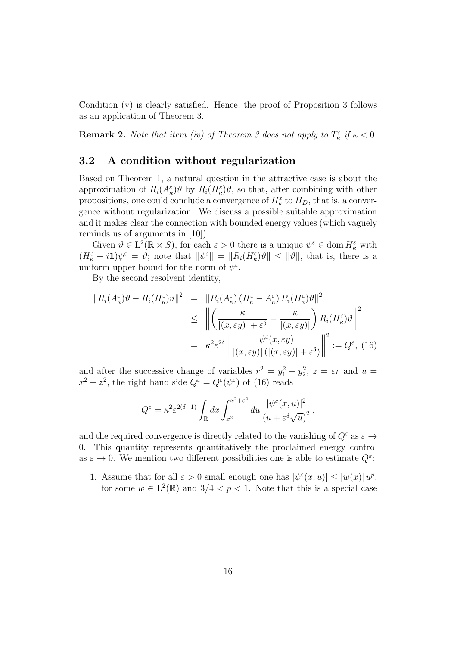Condition (v) is clearly satisfied. Hence, the proof of Proposition 3 follows as an application of Theorem 3.

**Remark 2.** Note that item (iv) of Theorem 3 does not apply to  $T_{\kappa}^{\varepsilon}$  if  $\kappa < 0$ .

### 3.2 A condition without regularization

Based on Theorem 1, a natural question in the attractive case is about the approximation of  $R_i(A_\kappa^{\varepsilon})\vartheta$  by  $R_i(H_\kappa^{\varepsilon})\vartheta$ , so that, after combining with other propositions, one could conclude a convergence of  $H_{\kappa}^{\varepsilon}$  to  $H_D$ , that is, a convergence without regularization. We discuss a possible suitable approximation and it makes clear the connection with bounded energy values (which vaguely reminds us of arguments in [10]).

Given  $\vartheta \in L^2(\mathbb{R} \times S)$ , for each  $\varepsilon > 0$  there is a unique  $\psi^{\varepsilon} \in \text{dom } H_{\kappa}^{\varepsilon}$  with  $(H_{\kappa}^{\varepsilon} - i\mathbf{1})\psi^{\varepsilon} = \vartheta$ ; note that  $\|\psi^{\varepsilon}\| = \|R_i(H_{\kappa}^{\varepsilon})\vartheta\| \leq \|\vartheta\|$ , that is, there is a uniform upper bound for the norm of  $\psi^{\varepsilon}$ .

By the second resolvent identity,

$$
\|R_i(A_{\kappa}^{\varepsilon})\vartheta - R_i(H_{\kappa}^{\varepsilon})\vartheta\|^2 = \|R_i(A_{\kappa}^{\varepsilon}) (H_{\kappa}^{\varepsilon} - A_{\kappa}^{\varepsilon}) R_i(H_{\kappa}^{\varepsilon})\vartheta\|^2
$$
  
\n
$$
\leq \left\| \left( \frac{\kappa}{|(x, \varepsilon y)| + \varepsilon^{\delta}} - \frac{\kappa}{|(x, \varepsilon y)|} \right) R_i(H_{\kappa}^{\varepsilon})\vartheta \right\|^2
$$
  
\n
$$
= \left. \kappa^2 \varepsilon^{2\delta} \left\| \frac{\psi^{\varepsilon}(x, \varepsilon y)}{|(x, \varepsilon y)| \left( |(x, \varepsilon y)| + \varepsilon^{\delta} \right)} \right\|^2 := Q^{\varepsilon}, \tag{16}
$$

and after the successive change of variables  $r^2 = y_1^2 + y_2^2$ ,  $z = \varepsilon r$  and  $u =$  $x^2 + z^2$ , the right hand side  $Q^{\varepsilon} = Q^{\varepsilon}(\psi^{\varepsilon})$  of (16) reads

$$
Q^{\varepsilon} = \kappa^2 \varepsilon^{2(\delta - 1)} \int_{\mathbb{R}} dx \int_{x^2}^{x^2 + \varepsilon^2} du \, \frac{|\psi^{\varepsilon}(x, u)|^2}{(u + \varepsilon^{\delta} \sqrt{u})^2},
$$

and the required convergence is directly related to the vanishing of  $Q^{\varepsilon}$  as  $\varepsilon \rightarrow$ 0. This quantity represents quantitatively the proclaimed energy control as  $\varepsilon \to 0$ . We mention two different possibilities one is able to estimate  $Q^{\varepsilon}$ :

1. Assume that for all  $\varepsilon > 0$  small enough one has  $|\psi^{\varepsilon}(x, u)| \leq |w(x)| u^{p}$ , for some  $w \in L^2(\mathbb{R})$  and  $3/4 < p < 1$ . Note that this is a special case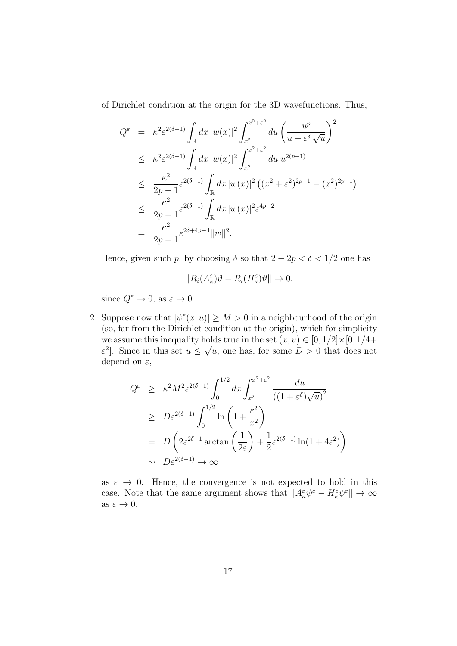of Dirichlet condition at the origin for the 3D wavefunctions. Thus,

$$
Q^{\varepsilon} = \kappa^{2} \varepsilon^{2(\delta - 1)} \int_{\mathbb{R}} dx |w(x)|^{2} \int_{x^{2}}^{x^{2} + \varepsilon^{2}} du \left( \frac{u^{p}}{u + \varepsilon^{\delta} \sqrt{u}} \right)^{2}
$$
  
\n
$$
\leq \kappa^{2} \varepsilon^{2(\delta - 1)} \int_{\mathbb{R}} dx |w(x)|^{2} \int_{x^{2}}^{x^{2} + \varepsilon^{2}} du u^{2(p-1)}
$$
  
\n
$$
\leq \frac{\kappa^{2}}{2p - 1} \varepsilon^{2(\delta - 1)} \int_{\mathbb{R}} dx |w(x)|^{2} \left( (x^{2} + \varepsilon^{2})^{2p - 1} - (x^{2})^{2p - 1} \right)
$$
  
\n
$$
\leq \frac{\kappa^{2}}{2p - 1} \varepsilon^{2(\delta - 1)} \int_{\mathbb{R}} dx |w(x)|^{2} \varepsilon^{4p - 2}
$$
  
\n
$$
= \frac{\kappa^{2}}{2p - 1} \varepsilon^{2\delta + 4p - 4} ||w||^{2}.
$$

Hence, given such p, by choosing  $\delta$  so that  $2 - 2p < \delta < 1/2$  one has

$$
||R_i(A_{\kappa}^{\varepsilon})\vartheta - R_i(H_{\kappa}^{\varepsilon})\vartheta|| \to 0,
$$

since  $Q^{\varepsilon} \to 0$ , as  $\varepsilon \to 0$ .

2. Suppose now that  $|\psi^{\epsilon}(x, u)| \geq M > 0$  in a neighbourhood of the origin (so, far from the Dirichlet condition at the origin), which for simplicity we assume this inequality holds true in the set  $(x, u) \in [0, 1/2] \times [0, 1/4 +$  $\varepsilon^2$ . Since in this set  $u \leq$ √  $\overline{u}$ , one has, for some  $D > 0$  that does not depend on  $\varepsilon$ ,

$$
Q^{\varepsilon} \geq \kappa^2 M^2 \varepsilon^{2(\delta - 1)} \int_0^{1/2} dx \int_{x^2}^{x^2 + \varepsilon^2} \frac{du}{\left( (1 + \varepsilon^{\delta}) \sqrt{u} \right)^2}
$$
  
\n
$$
\geq D\varepsilon^{2(\delta - 1)} \int_0^{1/2} \ln\left( 1 + \frac{\varepsilon^2}{x^2} \right)
$$
  
\n
$$
= D\left( 2\varepsilon^{2\delta - 1} \arctan\left( \frac{1}{2\varepsilon} \right) + \frac{1}{2} \varepsilon^{2(\delta - 1)} \ln(1 + 4\varepsilon^2) \right)
$$
  
\n
$$
\sim D\varepsilon^{2(\delta - 1)} \to \infty
$$

as  $\varepsilon \to 0$ . Hence, the convergence is not expected to hold in this case. Note that the same argument shows that  $||A_{\kappa}^{\varepsilon}\psi^{\varepsilon} - H_{\kappa}^{\varepsilon}\psi^{\varepsilon}|| \to \infty$ as  $\varepsilon \to 0$ .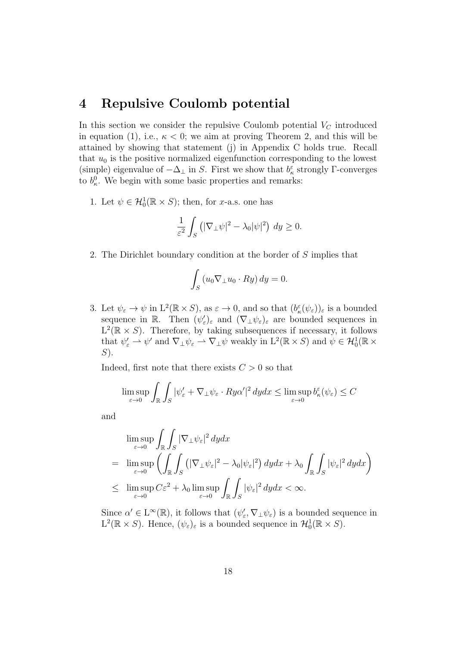### 4 Repulsive Coulomb potential

In this section we consider the repulsive Coulomb potential  $V_C$  introduced in equation (1), i.e.,  $\kappa < 0$ ; we aim at proving Theorem 2, and this will be attained by showing that statement (j) in Appendix C holds true. Recall that  $u_0$  is the positive normalized eigenfunction corresponding to the lowest (simple) eigenvalue of  $-\Delta_{\perp}$  in S. First we show that  $b_{\kappa}^{\varepsilon}$  strongly  $\Gamma$ -converges to  $b_{\kappa}^0$ . We begin with some basic properties and remarks:

1. Let  $\psi \in \mathcal{H}_0^1(\mathbb{R} \times S)$ ; then, for *x*-a.s. one has

$$
\frac{1}{\varepsilon^2} \int_S \left( |\nabla_\perp \psi|^2 - \lambda_0 |\psi|^2 \right) dy \ge 0.
$$

2. The Dirichlet boundary condition at the border of S implies that

$$
\int_{S} \left( u_0 \nabla_{\perp} u_0 \cdot Ry \right) dy = 0.
$$

3. Let  $\psi_{\varepsilon} \to \psi$  in  $L^2(\mathbb{R} \times S)$ , as  $\varepsilon \to 0$ , and so that  $(b_{\kappa}^{\varepsilon}(\psi_{\varepsilon}))_{\varepsilon}$  is a bounded sequence in R. Then  $(\psi_{\varepsilon})_{\varepsilon}$  and  $(\nabla_{\perp}\psi_{\varepsilon})_{\varepsilon}$  are bounded sequences in  $L^2(\mathbb{R} \times S)$ . Therefore, by taking subsequences if necessary, it follows that  $\psi'_\varepsilon \rightharpoonup \psi'$  and  $\nabla_\perp \psi_\varepsilon \rightharpoonup \nabla_\perp \psi$  weakly in  $L^2(\mathbb{R} \times S)$  and  $\psi \in \mathcal{H}_0^1(\mathbb{R} \times S)$  $S$ ).

Indeed, first note that there exists  $C > 0$  so that

$$
\limsup_{\varepsilon \to 0} \int_{\mathbb{R}} \int_{S} |\psi_{\varepsilon}' + \nabla_{\perp} \psi_{\varepsilon} \cdot Ry\alpha'|^{2} dy dx \le \limsup_{\varepsilon \to 0} b_{\kappa}^{\varepsilon}(\psi_{\varepsilon}) \le C
$$

and

$$
\limsup_{\varepsilon \to 0} \int_{\mathbb{R}} \int_{S} |\nabla_{\perp} \psi_{\varepsilon}|^{2} dy dx
$$
\n
$$
= \limsup_{\varepsilon \to 0} \left( \int_{\mathbb{R}} \int_{S} (|\nabla_{\perp} \psi_{\varepsilon}|^{2} - \lambda_{0} |\psi_{\varepsilon}|^{2}) dy dx + \lambda_{0} \int_{\mathbb{R}} \int_{S} |\psi_{\varepsilon}|^{2} dy dx \right)
$$
\n
$$
\leq \limsup_{\varepsilon \to 0} C \varepsilon^{2} + \lambda_{0} \limsup_{\varepsilon \to 0} \int_{\mathbb{R}} \int_{S} |\psi_{\varepsilon}|^{2} dy dx < \infty.
$$

Since  $\alpha' \in L^{\infty}(\mathbb{R})$ , it follows that  $(\psi_{\varepsilon}', \nabla_{\perp} \psi_{\varepsilon})$  is a bounded sequence in  $L^2(\mathbb{R} \times S)$ . Hence,  $(\psi_{\varepsilon})_{\varepsilon}$  is a bounded sequence in  $\mathcal{H}_0^1(\mathbb{R} \times S)$ .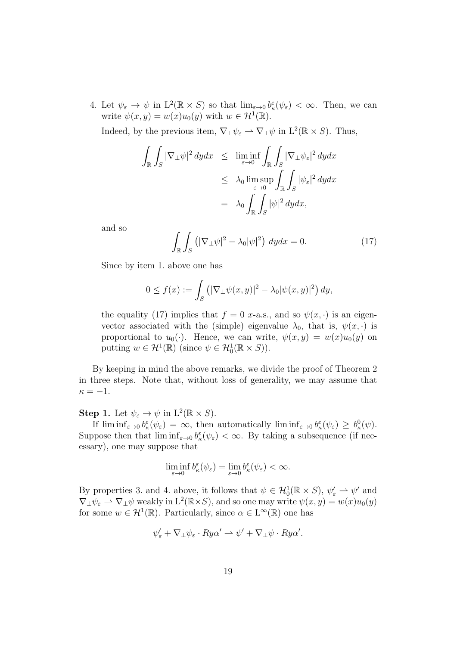4. Let  $\psi_{\varepsilon} \to \psi$  in  $L^2(\mathbb{R} \times S)$  so that  $\lim_{\varepsilon \to 0} b_{\kappa}^{\varepsilon}(\psi_{\varepsilon}) < \infty$ . Then, we can write  $\psi(x, y) = w(x)u_0(y)$  with  $w \in \mathcal{H}^1(\mathbb{R})$ .

Indeed, by the previous item,  $\nabla_{\perp}\psi_{\varepsilon} \rightharpoonup \nabla_{\perp}\psi$  in  $L^2(\mathbb{R} \times S)$ . Thus,

$$
\int_{\mathbb{R}} \int_{S} |\nabla_{\perp} \psi|^{2} dy dx \leq \liminf_{\varepsilon \to 0} \int_{\mathbb{R}} \int_{S} |\nabla_{\perp} \psi_{\varepsilon}|^{2} dy dx
$$
  

$$
\leq \lambda_{0} \limsup_{\varepsilon \to 0} \int_{\mathbb{R}} \int_{S} |\psi_{\varepsilon}|^{2} dy dx
$$
  

$$
= \lambda_{0} \int_{\mathbb{R}} \int_{S} |\psi|^{2} dy dx,
$$

and so

$$
\int_{\mathbb{R}} \int_{S} \left( |\nabla_{\perp} \psi|^{2} - \lambda_{0} |\psi|^{2} \right) dy dx = 0.
$$
 (17)

Since by item 1. above one has

$$
0 \le f(x) := \int_S \left( |\nabla_\perp \psi(x, y)|^2 - \lambda_0 |\psi(x, y)|^2 \right) dy,
$$

the equality (17) implies that  $f = 0$  x-a.s., and so  $\psi(x, \cdot)$  is an eigenvector associated with the (simple) eigenvalue  $\lambda_0$ , that is,  $\psi(x, \cdot)$  is proportional to  $u_0(\cdot)$ . Hence, we can write,  $\psi(x, y) = w(x)u_0(y)$  on putting  $w \in \mathcal{H}^1(\mathbb{R})$  (since  $\psi \in \mathcal{H}_0^1(\mathbb{R} \times S)$ ).

By keeping in mind the above remarks, we divide the proof of Theorem 2 in three steps. Note that, without loss of generality, we may assume that  $\kappa = -1.$ 

**Step 1.** Let  $\psi_{\varepsilon} \to \psi$  in  $L^2(\mathbb{R} \times S)$ .

If  $\liminf_{\varepsilon \to 0} b_{\kappa}^{\varepsilon}(\psi_{\varepsilon}) = \infty$ , then automatically  $\liminf_{\varepsilon \to 0} b_{\kappa}^{\varepsilon}(\psi_{\varepsilon}) \geq b_{\kappa}^{0}(\psi)$ . Suppose then that  $\liminf_{\varepsilon \to 0} b_{\kappa}^{\varepsilon}(\psi_{\varepsilon}) < \infty$ . By taking a subsequence (if necessary), one may suppose that

$$
\liminf_{\varepsilon \to 0} b_{\kappa}^{\varepsilon}(\psi_{\varepsilon}) = \lim_{\varepsilon \to 0} b_{\kappa}^{\varepsilon}(\psi_{\varepsilon}) < \infty.
$$

By properties 3. and 4. above, it follows that  $\psi \in \mathcal{H}_0^1(\mathbb{R} \times S)$ ,  $\psi'_\varepsilon \to \psi'$  and  $\nabla_\perp \psi_\varepsilon \rightharpoonup \nabla_\perp \psi$  weakly in  $\mathrm{L}^2(\mathbb{R} \times S)$ , and so one may write  $\psi(x, y) = w(x)u_0(y)$ for some  $w \in \mathcal{H}^1(\mathbb{R})$ . Particularly, since  $\alpha \in L^\infty(\mathbb{R})$  one has

$$
\psi_{\varepsilon}^{\prime} + \nabla_{\perp} \psi_{\varepsilon} \cdot Ry\alpha^{\prime} \rightharpoonup \psi^{\prime} + \nabla_{\perp} \psi \cdot Ry\alpha^{\prime}.
$$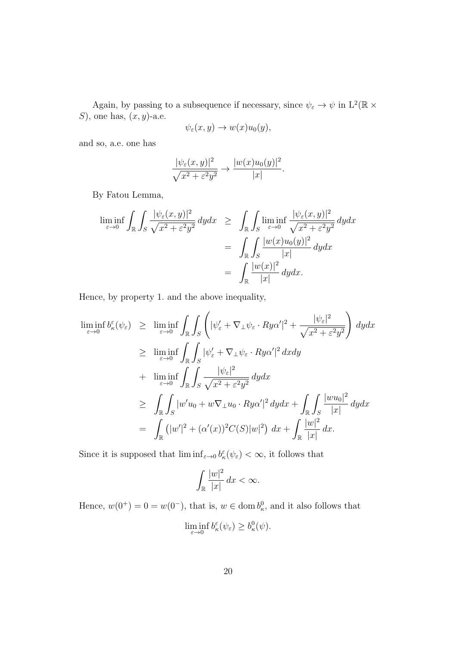Again, by passing to a subsequence if necessary, since  $\psi_{\varepsilon} \to \psi$  in  $\mathcal{L}^2(\mathbb{R} \times$ S), one has,  $(x, y)$ -a.e.

$$
\psi_{\varepsilon}(x,y) \to w(x)u_0(y),
$$

and so, a.e. one has

$$
\frac{|\psi_{\varepsilon}(x,y)|^2}{\sqrt{x^2 + \varepsilon^2 y^2}} \to \frac{|w(x)u_0(y)|^2}{|x|}.
$$

By Fatou Lemma,

$$
\liminf_{\varepsilon \to 0} \int_{\mathbb{R}} \int_{S} \frac{|\psi_{\varepsilon}(x,y)|^2}{\sqrt{x^2 + \varepsilon^2 y^2}} dy dx \ge \int_{\mathbb{R}} \int_{S} \liminf_{\varepsilon \to 0} \frac{|\psi_{\varepsilon}(x,y)|^2}{\sqrt{x^2 + \varepsilon^2 y^2}} dy dx
$$

$$
= \int_{\mathbb{R}} \int_{S} \frac{|w(x)u_0(y)|^2}{|x|} dy dx
$$

$$
= \int_{\mathbb{R}} \frac{|w(x)|^2}{|x|} dy dx.
$$

Hence, by property 1. and the above inequality,

$$
\liminf_{\varepsilon \to 0} b_{\kappa}^{\varepsilon}(\psi_{\varepsilon}) \geq \liminf_{\varepsilon \to 0} \int_{\mathbb{R}} \int_{S} \left( |\psi_{\varepsilon}' + \nabla_{\perp} \psi_{\varepsilon} \cdot Ry\alpha'|^{2} + \frac{|\psi_{\varepsilon}|^{2}}{\sqrt{x^{2} + \varepsilon^{2}y^{2}}} \right) dy dx
$$
\n
$$
\geq \liminf_{\varepsilon \to 0} \int_{\mathbb{R}} \int_{S} |\psi_{\varepsilon}' + \nabla_{\perp} \psi_{\varepsilon} \cdot Ry\alpha'|^{2} dx dy
$$
\n
$$
+ \liminf_{\varepsilon \to 0} \int_{\mathbb{R}} \int_{S} \frac{|\psi_{\varepsilon}|^{2}}{\sqrt{x^{2} + \varepsilon^{2}y^{2}}} dy dx
$$
\n
$$
\geq \int_{\mathbb{R}} \int_{S} |w'u_{0} + w\nabla_{\perp} u_{0} \cdot Ry\alpha'|^{2} dy dx + \int_{\mathbb{R}} \int_{S} \frac{|wu_{0}|^{2}}{|x|} dy dx
$$
\n
$$
= \int_{\mathbb{R}} (|w'|^{2} + (\alpha'(x))^{2}C(S)|w|^{2}) dx + \int_{\mathbb{R}} \frac{|w|^{2}}{|x|} dx.
$$

Since it is supposed that  $\liminf_{\varepsilon \to 0} b_{\kappa}^{\varepsilon}(\psi_{\varepsilon}) < \infty$ , it follows that

$$
\int_{\mathbb{R}} \frac{|w|^2}{|x|} dx < \infty.
$$

Hence,  $w(0^+) = 0 = w(0^-)$ , that is,  $w \in \text{dom } b^0_{\kappa}$ , and it also follows that

$$
\liminf_{\varepsilon \to 0} b_{\kappa}^{\varepsilon}(\psi_{\varepsilon}) \ge b_{\kappa}^{0}(\psi).
$$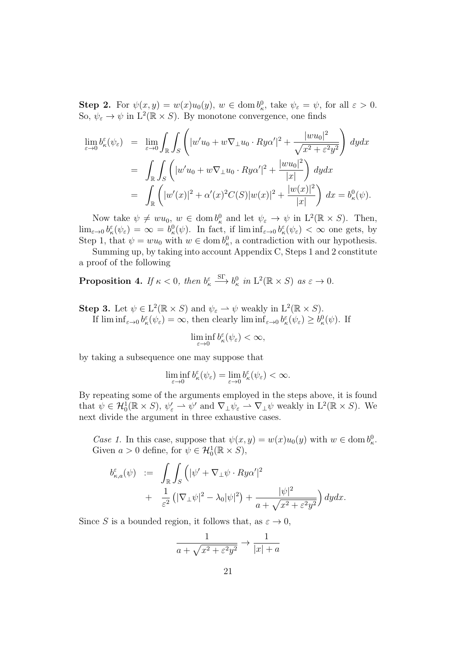**Step 2.** For  $\psi(x, y) = w(x)u_0(y)$ ,  $w \in \text{dom } b_\kappa^0$ , take  $\psi_\varepsilon = \psi$ , for all  $\varepsilon > 0$ . So,  $\psi_{\varepsilon} \to \psi$  in  $L^2(\mathbb{R} \times S)$ . By monotone convergence, one finds

$$
\lim_{\varepsilon \to 0} b_{\kappa}^{\varepsilon}(\psi_{\varepsilon}) = \lim_{\varepsilon \to 0} \int_{\mathbb{R}} \int_{S} \left( |w' u_{0} + w \nabla_{\perp} u_{0} \cdot Ry\alpha'|^{2} + \frac{|w u_{0}|^{2}}{\sqrt{x^{2} + \varepsilon^{2} y^{2}}} \right) dy dx
$$
  
\n
$$
= \int_{\mathbb{R}} \int_{S} \left( |w' u_{0} + w \nabla_{\perp} u_{0} \cdot Ry\alpha'|^{2} + \frac{|w u_{0}|^{2}}{|x|} \right) dy dx
$$
  
\n
$$
= \int_{\mathbb{R}} \left( |w'(x)|^{2} + \alpha'(x)^{2} C(S) |w(x)|^{2} + \frac{|w(x)|^{2}}{|x|} \right) dx = b_{\kappa}^{0}(\psi).
$$

Now take  $\psi \neq w u_0, w \in \text{dom } b^0_{\kappa}$  and let  $\psi_{\varepsilon} \to \psi$  in  $L^2(\mathbb{R} \times S)$ . Then,  $\lim_{\varepsilon \to 0} b_{\kappa}^{\varepsilon}(\psi_{\varepsilon}) = \infty = b_{\kappa}^{0}(\psi)$ . In fact, if  $\liminf_{\varepsilon \to 0} b_{\kappa}^{\varepsilon}(\psi_{\varepsilon}) < \infty$  one gets, by Step 1, that  $\psi = w u_0$  with  $w \in \text{dom } b^0_{\kappa}$ , a contradiction with our hypothesis.

Summing up, by taking into account Appendix C, Steps 1 and 2 constitute a proof of the following

**Proposition 4.** If  $\kappa < 0$ , then  $b_{\kappa}^{\varepsilon}$  $\stackrel{\rm SF}{\longrightarrow} b_{\kappa}^0$  in  $L^2(\mathbb{R} \times S)$  as  $\varepsilon \to 0$ .

**Step 3.** Let  $\psi \in L^2(\mathbb{R} \times S)$  and  $\psi_{\varepsilon} \to \psi$  weakly in  $L^2(\mathbb{R} \times S)$ .

If  $\liminf_{\varepsilon \to 0} b_{\kappa}^{\varepsilon}(\psi_{\varepsilon}) = \infty$ , then clearly  $\liminf_{\varepsilon \to 0} b_{\kappa}^{\varepsilon}(\psi_{\varepsilon}) \geq b_{\kappa}^{0}(\psi)$ . If

$$
\liminf_{\varepsilon \to 0} b_{\kappa}^{\varepsilon}(\psi_{\varepsilon}) < \infty,
$$

by taking a subsequence one may suppose that

$$
\liminf_{\varepsilon \to 0} b_{\kappa}^{\varepsilon}(\psi_{\varepsilon}) = \lim_{\varepsilon \to 0} b_{\kappa}^{\varepsilon}(\psi_{\varepsilon}) < \infty.
$$

By repeating some of the arguments employed in the steps above, it is found that  $\psi \in \mathcal{H}_0^1(\mathbb{R} \times S)$ ,  $\psi_{\varepsilon}' \to \psi'$  and  $\nabla_{\perp} \psi_{\varepsilon} \to \nabla_{\perp} \psi$  weakly in  $L^2(\mathbb{R} \times S)$ . We next divide the argument in three exhaustive cases.

Case 1. In this case, suppose that  $\psi(x, y) = w(x)u_0(y)$  with  $w \in \text{dom } b_\kappa^0$ . Given  $a > 0$  define, for  $\psi \in \mathcal{H}_0^1(\mathbb{R} \times S)$ ,

$$
b_{\kappa,a}^{\varepsilon}(\psi) := \int_{\mathbb{R}} \int_{S} \left( |\psi' + \nabla_{\perp} \psi \cdot Ry\alpha'|^{2} + \frac{1}{\varepsilon^{2}} \left( |\nabla_{\perp} \psi|^{2} - \lambda_{0} |\psi|^{2} \right) + \frac{|\psi|^{2}}{a + \sqrt{x^{2} + \varepsilon^{2} y^{2}}} \right) dy dx.
$$

Since S is a bounded region, it follows that, as  $\varepsilon \to 0$ ,

$$
\frac{1}{a + \sqrt{x^2 + \varepsilon^2 y^2}} \to \frac{1}{|x| + a}
$$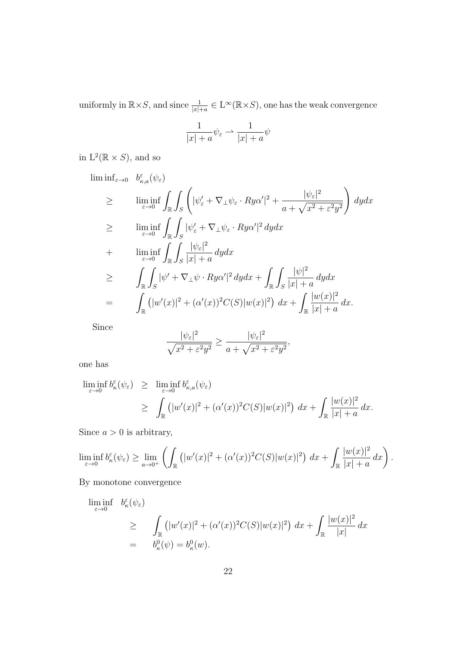uniformly in  $\mathbb{R}\times S$ , and since  $\frac{1}{|x|+a} \in L^{\infty}(\mathbb{R}\times S)$ , one has the weak convergence

$$
\frac{1}{|x|+a}\psi_{\varepsilon} \rightharpoonup \frac{1}{|x|+a}\psi
$$

in  $L^2(\mathbb{R} \times S)$ , and so

$$
\liminf_{\varepsilon \to 0} \quad b_{\kappa,a}^{\varepsilon}(\psi_{\varepsilon})
$$
\n
$$
\geq \liminf_{\varepsilon \to 0} \int_{\mathbb{R}} \int_{S} \left( |\psi_{\varepsilon}' + \nabla_{\perp} \psi_{\varepsilon} \cdot Ry\alpha'|^{2} + \frac{|\psi_{\varepsilon}|^{2}}{a + \sqrt{x^{2} + \varepsilon^{2}y^{2}}} \right) dy dx
$$
\n
$$
\geq \liminf_{\varepsilon \to 0} \int_{\mathbb{R}} \int_{S} |\psi_{\varepsilon}' + \nabla_{\perp} \psi_{\varepsilon} \cdot Ry\alpha'|^{2} dy dx
$$
\n
$$
+ \liminf_{\varepsilon \to 0} \int_{\mathbb{R}} \int_{S} \frac{|\psi_{\varepsilon}|^{2}}{|x| + a} dy dx
$$
\n
$$
\geq \int_{\mathbb{R}} \int_{S} |\psi' + \nabla_{\perp} \psi \cdot Ry\alpha'|^{2} dy dx + \int_{\mathbb{R}} \int_{S} \frac{|\psi|^{2}}{|x| + a} dy dx
$$
\n
$$
= \int_{\mathbb{R}} (|w'(x)|^{2} + (\alpha'(x))^{2} C(S)|w(x)|^{2}) dx + \int_{\mathbb{R}} \frac{|w(x)|^{2}}{|x| + a} dx.
$$

Since

$$
\frac{|\psi_{\varepsilon}|^2}{\sqrt{x^2 + \varepsilon^2 y^2}} \ge \frac{|\psi_{\varepsilon}|^2}{a + \sqrt{x^2 + \varepsilon^2 y^2}},
$$

one has

$$
\liminf_{\varepsilon \to 0} b_{\kappa}^{\varepsilon}(\psi_{\varepsilon}) \geq \liminf_{\varepsilon \to 0} b_{\kappa,a}^{\varepsilon}(\psi_{\varepsilon})
$$
\n
$$
\geq \int_{\mathbb{R}} (|w'(x)|^2 + (\alpha'(x))^2 C(S)|w(x)|^2) dx + \int_{\mathbb{R}} \frac{|w(x)|^2}{|x| + a} dx.
$$

Since  $a > 0$  is arbitrary,

$$
\liminf_{\varepsilon \to 0} b_{\kappa}^{\varepsilon}(\psi_{\varepsilon}) \ge \lim_{a \to 0^+} \left( \int_{\mathbb{R}} \left( |w'(x)|^2 + (\alpha'(x))^2 C(S) |w(x)|^2 \right) dx + \int_{\mathbb{R}} \frac{|w(x)|^2}{|x| + a} dx \right).
$$

By monotone convergence

$$
\liminf_{\varepsilon \to 0} b_{\kappa}^{\varepsilon}(\psi_{\varepsilon})
$$
\n
$$
\geq \int_{\mathbb{R}} (|w'(x)|^2 + (\alpha'(x))^2 C(S)|w(x)|^2) dx + \int_{\mathbb{R}} \frac{|w(x)|^2}{|x|} dx
$$
\n
$$
= b_{\kappa}^0(\psi) = b_{\kappa}^0(w).
$$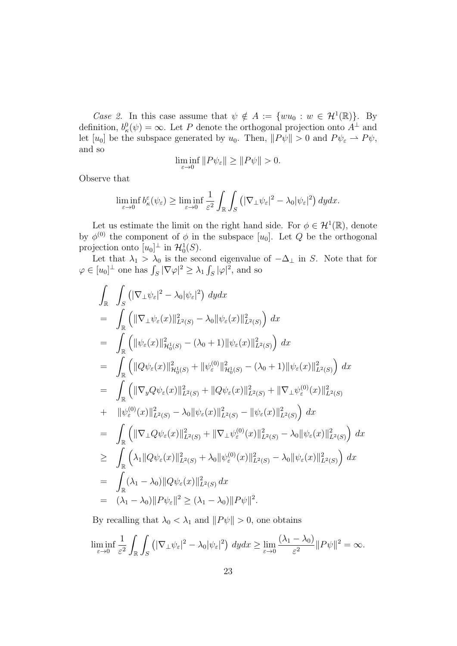Case 2. In this case assume that  $\psi \notin A := \{wu_0 : w \in \mathcal{H}^1(\mathbb{R})\}.$  By definition,  $b_{\kappa}^{0}(\psi) = \infty$ . Let P denote the orthogonal projection onto  $A^{\perp}$  and let  $[u_0]$  be the subspace generated by  $u_0$ . Then,  $||P\psi|| > 0$  and  $P\psi_{\varepsilon} \to P\psi$ , and so

$$
\liminf_{\varepsilon \to 0} ||P\psi_{\varepsilon}|| \ge ||P\psi|| > 0.
$$

Observe that

$$
\liminf_{\varepsilon \to 0} b_{\kappa}^{\varepsilon}(\psi_{\varepsilon}) \ge \liminf_{\varepsilon \to 0} \frac{1}{\varepsilon^2} \int_{\mathbb{R}} \int_{S} \left( |\nabla_{\perp} \psi_{\varepsilon}|^2 - \lambda_0 |\psi_{\varepsilon}|^2 \right) dy dx.
$$

Let us estimate the limit on the right hand side. For  $\phi \in \mathcal{H}^1(\mathbb{R})$ , denote by  $\phi^{(0)}$  the component of  $\phi$  in the subspace  $[u_0]$ . Let  $Q$  be the orthogonal projection onto  $[u_0]^\perp$  in  $\mathcal{H}_0^1(S)$ .

Let that  $\lambda_1 > \lambda_0$  is the second eigenvalue of  $-\Delta_{\perp}$  in S. Note that for  $\varphi \in [u_0]^\perp$  one has  $\int_S |\nabla \varphi|^2 \geq \lambda_1 \int_S |\varphi|^2$ , and so

$$
\int_{\mathbb{R}} \int_{S} (|\nabla_{\perp} \psi_{\varepsilon}|^{2} - \lambda_{0} |\psi_{\varepsilon}|^{2}) dy dx \n= \int_{\mathbb{R}} (||\nabla_{\perp} \psi_{\varepsilon}(x)||_{L^{2}(S)}^{2} - \lambda_{0} ||\psi_{\varepsilon}(x)||_{L^{2}(S)}^{2}) dx \n= \int_{\mathbb{R}} (||\psi_{\varepsilon}(x)||_{\mathcal{H}_{0}^{1}(S)}^{2} - (\lambda_{0} + 1)||\psi_{\varepsilon}(x)||_{L^{2}(S)}^{2}) dx \n= \int_{\mathbb{R}} (||Q\psi_{\varepsilon}(x)||_{\mathcal{H}_{0}^{1}(S)}^{2} + ||\psi_{\varepsilon}^{(0)}||_{\mathcal{H}_{0}^{1}(S)}^{2} - (\lambda_{0} + 1)||\psi_{\varepsilon}(x)||_{L^{2}(S)}^{2}) dx \n= \int_{\mathbb{R}} (||\nabla_{y} Q\psi_{\varepsilon}(x)||_{L^{2}(S)}^{2} + ||Q\psi_{\varepsilon}(x)||_{L^{2}(S)}^{2} + ||\nabla_{\perp} \psi_{\varepsilon}^{(0)}(x)||_{L^{2}(S)}^{2} \n+ ||\psi_{\varepsilon}^{(0)}(x)||_{L^{2}(S)}^{2} - \lambda_{0} ||\psi_{\varepsilon}(x)||_{L^{2}(S)}^{2} - ||\psi_{\varepsilon}(x)||_{L^{2}(S)}^{2} dx \n= \int_{\mathbb{R}} (||\nabla_{\perp} Q\psi_{\varepsilon}(x)||_{L^{2}(S)}^{2} + ||\nabla_{\perp} \psi_{\varepsilon}^{(0)}(x)||_{L^{2}(S)}^{2} - \lambda_{0} ||\psi_{\varepsilon}(x)||_{L^{2}(S)}^{2}) dx \n= \int_{\mathbb{R}} (\lambda_{1} ||Q\psi_{\varepsilon}(x)||_{L^{2}(S)}^{2} + \lambda_{0} ||\psi_{\varepsilon}^{(0)}(x)||_{L^{2}(S)}^{2} - \lambda_{0} ||\psi_{\varepsilon}(x)||_{L^{2}(S)}^{2}) dx \n= \int_{\mathbb{R}} (\lambda_{1} - \lambda_{0}) ||Q\psi_{\varepsilon}(x)||_{L^{2}(S)}^{2} dx \n= (\lambda_{1
$$

By recalling that  $\lambda_0 < \lambda_1$  and  $||P\psi|| > 0$ , one obtains

$$
\liminf_{\varepsilon \to 0} \frac{1}{\varepsilon^2} \int_{\mathbb{R}} \int_{S} \left( |\nabla_{\perp} \psi_{\varepsilon}|^2 - \lambda_0 |\psi_{\varepsilon}|^2 \right) dy dx \ge \lim_{\varepsilon \to 0} \frac{(\lambda_1 - \lambda_0)}{\varepsilon^2} ||P\psi||^2 = \infty.
$$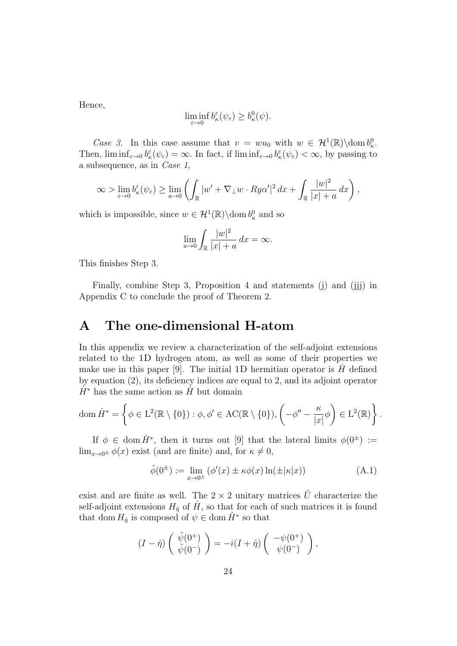Hence,

$$
\liminf_{\varepsilon \to 0} b_{\kappa}^{\varepsilon}(\psi_{\varepsilon}) \ge b_{\kappa}^{0}(\psi).
$$

Case 3. In this case assume that  $v = w u_0$  with  $w \in \mathcal{H}^1(\mathbb{R})\backslash \text{dom } b^0_{\kappa}$ . Then,  $\liminf_{\varepsilon \to 0} b_{\kappa}^{\varepsilon}(\psi_{\varepsilon}) = \infty$ . In fact, if  $\liminf_{\varepsilon \to 0} b_{\kappa}^{\varepsilon}(\psi_{\varepsilon}) < \infty$ , by passing to a subsequence, as in Case 1,

$$
\infty > \lim_{\varepsilon \to 0} b_{\kappa}^{\varepsilon}(\psi_{\varepsilon}) \ge \lim_{a \to 0} \left( \int_{\mathbb{R}} |w' + \nabla_{\perp} w \cdot Ry\alpha'|^2 dx + \int_{\mathbb{R}} \frac{|w|^2}{|x| + a} dx \right),
$$

which is impossible, since  $w \in \mathcal{H}^1(\mathbb{R}) \setminus \text{dom } b_\kappa^0$  and so

$$
\lim_{a \to 0} \int_{\mathbb{R}} \frac{|w|^2}{|x| + a} dx = \infty.
$$

This finishes Step 3.

Finally, combine Step 3, Proposition 4 and statements (j) and (jij) in Appendix C to conclude the proof of Theorem 2.

## A The one-dimensional H-atom

In this appendix we review a characterization of the self-adjoint extensions related to the 1D hydrogen atom, as well as some of their properties we make use in this paper [9]. The initial 1D hermitian operator is  $H$  defined by equation (2), its deficiency indices are equal to 2, and its adjoint operator  $H^*$  has the same action as H<sup>t</sup> but domain

dom 
$$
\dot{H}^* = \left\{ \phi \in L^2(\mathbb{R} \setminus \{0\}) : \phi, \phi' \in \mathrm{AC}(\mathbb{R} \setminus \{0\}), \left(-\phi'' - \frac{\kappa}{|x|} \phi\right) \in L^2(\mathbb{R}) \right\}.
$$

If  $\phi \in \text{dom } \dot{H}^*$ , then it turns out [9] that the lateral limits  $\phi(0^{\pm}) :=$  $\lim_{x\to 0^{\pm}} \phi(x)$  exist (and are finite) and, for  $\kappa \neq 0$ ,

$$
\tilde{\phi}(0^{\pm}) := \lim_{x \to 0^{\pm}} (\phi'(x) \pm \kappa \phi(x) \ln(\pm |\kappa|x))
$$
\n(A.1)

exist and are finite as well. The  $2 \times 2$  unitary matrices  $\hat{U}$  characterize the self-adjoint extensions  $H_{\hat{\eta}}$  of  $\dot{H}$ , so that for each of such matrices it is found that dom  $H_{\hat{\eta}}$  is composed of  $\psi \in \text{dom }\dot{H}^*$  so that

$$
(I - \hat{\eta}) \left( \begin{array}{c} \tilde{\psi}(0^+) \\ \tilde{\psi}(0^-) \end{array} \right) = -i(I + \hat{\eta}) \left( \begin{array}{c} -\psi(0^+) \\ \psi(0^-) \end{array} \right),
$$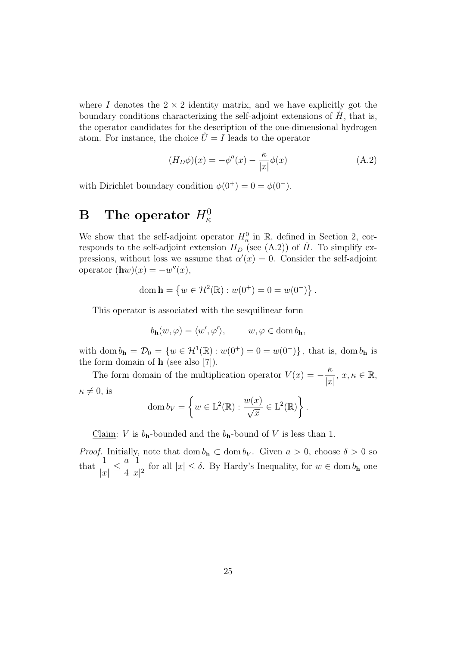where I denotes the  $2 \times 2$  identity matrix, and we have explicitly got the boundary conditions characterizing the self-adjoint extensions of  $\dot{H}$ , that is, the operator candidates for the description of the one-dimensional hydrogen atom. For instance, the choice  $\hat{U} = I$  leads to the operator

$$
(H_D \phi)(x) = -\phi''(x) - \frac{\kappa}{|x|} \phi(x)
$$
\n(A.2)

with Dirichlet boundary condition  $\phi(0^+) = 0 = \phi(0^-)$ .

# $\, {\bf B} \, \quad {\bf The \, operator} \,\, H^0_{\kappa}$

We show that the self-adjoint operator  $H_{\kappa}^0$  in  $\mathbb{R}$ , defined in Section 2, corresponds to the self-adjoint extension  $H_D$  (see (A.2)) of  $\hat{H}$ . To simplify expressions, without loss we assume that  $\alpha'(x) = 0$ . Consider the self-adjoint operator  $(\mathbf{h}w)(x) = -w''(x)$ ,

dom 
$$
\mathbf{h} = \{ w \in \mathcal{H}^2(\mathbb{R}) : w(0^+) = 0 = w(0^-) \}.
$$

This operator is associated with the sesquilinear form

$$
b_{\mathbf{h}}(w,\varphi) = \langle w', \varphi' \rangle, \qquad w, \varphi \in \text{dom } b_{\mathbf{h}},
$$

with dom  $b_{h} = \mathcal{D}_{0} = \{w \in \mathcal{H}^{1}(\mathbb{R}) : w(0^{+}) = 0 = w(0^{-})\}$ , that is, dom  $b_{h}$  is the form domain of  $h$  (see also [7]).

The form domain of the multiplication operator  $V(x) = -\frac{\kappa}{x}$  $|x|$ ,  $x, \kappa \in \mathbb{R}$ ,  $\kappa \neq 0$ , is

dom 
$$
b_V = \left\{ w \in L^2(\mathbb{R}) : \frac{w(x)}{\sqrt{x}} \in L^2(\mathbb{R}) \right\}.
$$

Claim: V is  $b_h$ -bounded and the  $b_h$ -bound of V is less than 1.

*Proof.* Initially, note that dom  $b_h \,\subset \, \text{dom } b_V$ . Given  $a > 0$ , choose  $\delta > 0$  so that  $\frac{1}{1}$  $|x|$  $\leq \frac{a}{4}$ 4 1  $\frac{1}{|x|^2}$  for all  $|x| \leq \delta$ . By Hardy's Inequality, for  $w \in \text{dom } b_{\mathbf{h}}$  one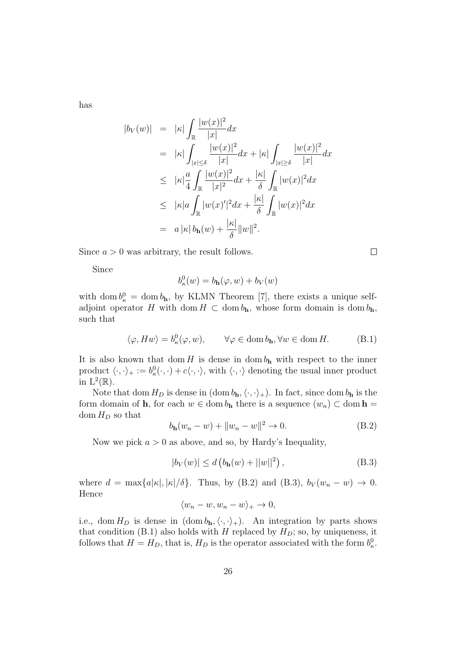has

$$
|b_V(w)| = |\kappa| \int_{\mathbb{R}} \frac{|w(x)|^2}{|x|} dx
$$
  
\n
$$
= |\kappa| \int_{|x| \le \delta} \frac{|w(x)|^2}{|x|} dx + |\kappa| \int_{|x| \ge \delta} \frac{|w(x)|^2}{|x|} dx
$$
  
\n
$$
\le |\kappa| \frac{a}{4} \int_{\mathbb{R}} \frac{|w(x)|^2}{|x|^2} dx + \frac{|\kappa|}{\delta} \int_{\mathbb{R}} |w(x)|^2 dx
$$
  
\n
$$
\le |\kappa| a \int_{\mathbb{R}} |w(x)|^2 dx + \frac{|\kappa|}{\delta} \int_{\mathbb{R}} |w(x)|^2 dx
$$
  
\n
$$
= a |\kappa| b_{\mathbf{h}}(w) + \frac{|\kappa|}{\delta} ||w||^2.
$$

Since  $a > 0$  was arbitrary, the result follows.

Since

$$
b_{\kappa}^{0}(w) = b_{\mathbf{h}}(\varphi, w) + b_{V}(w)
$$

with dom  $b_{\kappa}^0 = \text{dom } b_{\mathbf{h}}$ , by KLMN Theorem [7], there exists a unique selfadjoint operator H with dom  $H \subset \text{dom } b_{h}$ , whose form domain is dom  $b_{h}$ , such that

$$
\langle \varphi, Hw \rangle = b_{\kappa}^{0}(\varphi, w), \qquad \forall \varphi \in \text{dom } b_{\mathbf{h}}, \forall w \in \text{dom } H. \tag{B.1}
$$

It is also known that dom H is dense in dom  $b_{\rm h}$  with respect to the inner product  $\langle \cdot, \cdot \rangle_+ := b^0_{\kappa}(\cdot, \cdot) + c \langle \cdot, \cdot \rangle$ , with  $\langle \cdot, \cdot \rangle$  denoting the usual inner product in  $L^2(\mathbb{R})$ .

Note that dom  $H_D$  is dense in  $(\text{dom }b_{\mathbf{h}}, \langle \cdot, \cdot \rangle_{+})$ . In fact, since dom  $b_{\mathbf{h}}$  is the form domain of **h**, for each  $w \in \text{dom } b_{h}$  there is a sequence  $(w_n) \subset \text{dom } h =$ dom  $H_D$  so that

$$
b_{\mathbf{h}}(w_n - w) + ||w_n - w||^2 \to 0.
$$
 (B.2)

Now we pick  $a > 0$  as above, and so, by Hardy's Inequality,

$$
|b_V(w)| \le d \left( b_{\mathbf{h}}(w) + ||w||^2 \right), \tag{B.3}
$$

where  $d = \max\{a|\kappa|, |\kappa|/\delta\}$ . Thus, by (B.2) and (B.3),  $b_V(w_n - w) \to 0$ . Hence

$$
\langle w_n - w, w_n - w \rangle_+ \to 0,
$$

i.e., dom  $H_D$  is dense in  $(\text{dom }b_{h}, \langle \cdot, \cdot \rangle_{+})$ . An integration by parts shows that condition (B.1) also holds with H replaced by  $H_D$ ; so, by uniqueness, it follows that  $H = H_D$ , that is,  $H_D$  is the operator associated with the form  $b_{\kappa}^0$ .

 $\Box$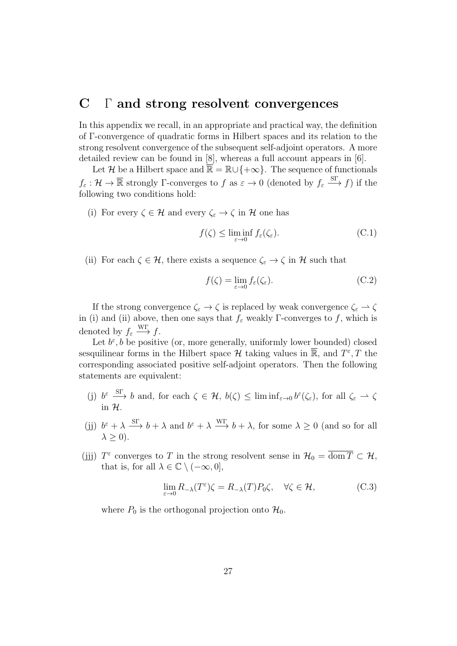# C Γ and strong resolvent convergences

In this appendix we recall, in an appropriate and practical way, the definition of Γ-convergence of quadratic forms in Hilbert spaces and its relation to the strong resolvent convergence of the subsequent self-adjoint operators. A more detailed review can be found in [8], whereas a full account appears in [6].

Let H be a Hilbert space and  $\mathbb{R} = \mathbb{R} \cup \{+\infty\}$ . The sequence of functionals  $f_{\varepsilon}: \mathcal{H} \to \overline{\mathbb{R}}$  strongly  $\Gamma$ -converges to  $f$  as  $\varepsilon \to 0$  (denoted by  $f_{\varepsilon} \xrightarrow{\text{ST}} f$ ) if the following two conditions hold:

(i) For every  $\zeta \in \mathcal{H}$  and every  $\zeta_{\varepsilon} \to \zeta$  in  $\mathcal{H}$  one has

$$
f(\zeta) \le \liminf_{\varepsilon \to 0} f_{\varepsilon}(\zeta_{\varepsilon}).
$$
 (C.1)

(ii) For each  $\zeta \in \mathcal{H}$ , there exists a sequence  $\zeta_{\varepsilon} \to \zeta$  in  $\mathcal{H}$  such that

$$
f(\zeta) = \lim_{\varepsilon \to 0} f_{\varepsilon}(\zeta_{\varepsilon}).
$$
 (C.2)

If the strong convergence  $\zeta_{\varepsilon} \to \zeta$  is replaced by weak convergence  $\zeta_{\varepsilon} \to \zeta$ in (i) and (ii) above, then one says that  $f_{\varepsilon}$  weakly Γ-converges to f, which is denoted by  $f_{\varepsilon} \stackrel{\text{WT}}{\longrightarrow} f$ .

Let  $b^{\varepsilon}, b$  be positive (or, more generally, uniformly lower bounded) closed sesquilinear forms in the Hilbert space  $\mathcal H$  taking values in  $\overline{\mathbb{R}}$ , and  $T^{\varepsilon}, T$  the corresponding associated positive self-adjoint operators. Then the following statements are equivalent:

- (j)  $b^{\varepsilon} \stackrel{\text{ST}}{\longrightarrow} b$  and, for each  $\zeta \in \mathcal{H}$ ,  $b(\zeta) \leq \liminf_{\varepsilon \to 0} b^{\varepsilon}(\zeta_{\varepsilon})$ , for all  $\zeta_{\varepsilon} \to \zeta$ in H.
- (j)  $b^{\varepsilon} + \lambda \stackrel{\text{ST}}{\longrightarrow} b + \lambda$  and  $b^{\varepsilon} + \lambda \stackrel{\text{WT}}{\longrightarrow} b + \lambda$ , for some  $\lambda \geq 0$  (and so for all  $\lambda \geq 0$ ).
- (jjj)  $T^{\varepsilon}$  converges to T in the strong resolvent sense in  $\mathcal{H}_0 = \overline{\text{dom }T} \subset \mathcal{H}$ , that is, for all  $\lambda \in \mathbb{C} \setminus (-\infty, 0]$ .

$$
\lim_{\varepsilon \to 0} R_{-\lambda}(T^{\varepsilon}) \zeta = R_{-\lambda}(T) P_0 \zeta, \quad \forall \zeta \in \mathcal{H}, \tag{C.3}
$$

where  $P_0$  is the orthogonal projection onto  $\mathcal{H}_0$ .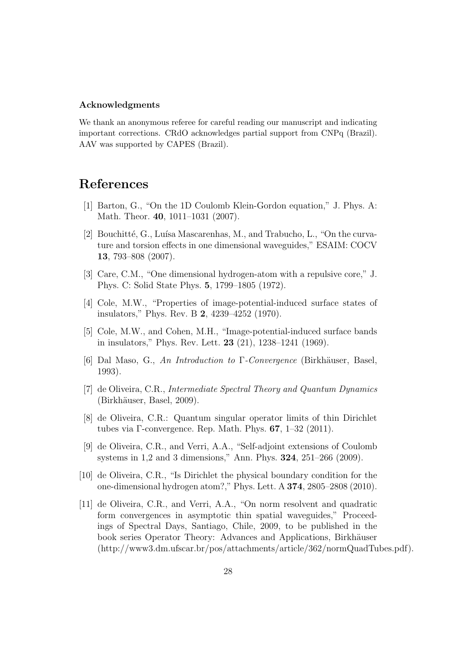#### Acknowledgments

We thank an anonymous referee for careful reading our manuscript and indicating important corrections. CRdO acknowledges partial support from CNPq (Brazil). AAV was supported by CAPES (Brazil).

# References

- [1] Barton, G., "On the 1D Coulomb Klein-Gordon equation," J. Phys. A: Math. Theor. 40, 1011–1031 (2007).
- [2] Bouchitté, G., Luísa Mascarenhas, M., and Trabucho, L., "On the curvature and torsion effects in one dimensional waveguides," ESAIM: COCV 13, 793–808 (2007).
- [3] Care, C.M., "One dimensional hydrogen-atom with a repulsive core," J. Phys. C: Solid State Phys. 5, 1799–1805 (1972).
- [4] Cole, M.W., "Properties of image-potential-induced surface states of insulators," Phys. Rev. B 2, 4239–4252 (1970).
- [5] Cole, M.W., and Cohen, M.H., "Image-potential-induced surface bands in insulators," Phys. Rev. Lett. 23 (21), 1238–1241 (1969).
- [6] Dal Maso, G., An Introduction to Γ-Convergence (Birkhäuser, Basel, 1993).
- [7] de Oliveira, C.R., Intermediate Spectral Theory and Quantum Dynamics  $(Birkhäuser, Basel, 2009).$
- [8] de Oliveira, C.R.: Quantum singular operator limits of thin Dirichlet tubes via Γ-convergence. Rep. Math. Phys. 67, 1–32 (2011).
- [9] de Oliveira, C.R., and Verri, A.A., "Self-adjoint extensions of Coulomb systems in 1,2 and 3 dimensions," Ann. Phys. 324, 251–266 (2009).
- [10] de Oliveira, C.R., "Is Dirichlet the physical boundary condition for the one-dimensional hydrogen atom?," Phys. Lett. A 374, 2805–2808 (2010).
- [11] de Oliveira, C.R., and Verri, A.A., "On norm resolvent and quadratic form convergences in asymptotic thin spatial waveguides," Proceedings of Spectral Days, Santiago, Chile, 2009, to be published in the book series Operator Theory: Advances and Applications, Birkhäuser (http://www3.dm.ufscar.br/pos/attachments/article/362/normQuadTubes.pdf).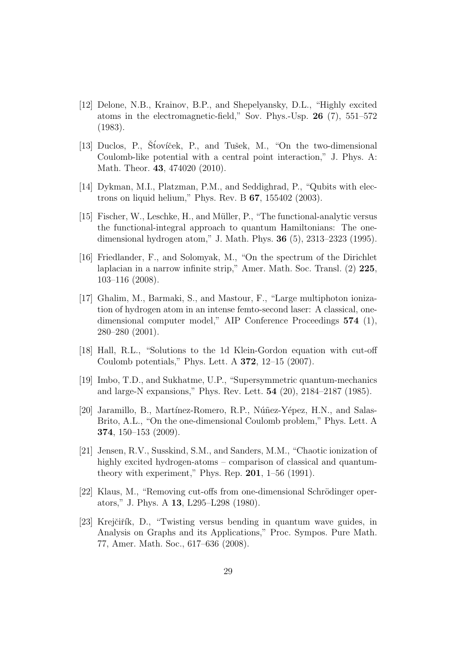- [12] Delone, N.B., Krainov, B.P., and Shepelyansky, D.L., "Highly excited atoms in the electromagnetic-field," Sov. Phys.-Usp. 26 (7), 551–572 (1983).
- [13] Duclos, P., Štovíček, P., and Tušek, M., "On the two-dimensional Coulomb-like potential with a central point interaction," J. Phys. A: Math. Theor. 43, 474020 (2010).
- [14] Dykman, M.I., Platzman, P.M., and Seddighrad, P., "Qubits with electrons on liquid helium," Phys. Rev. B 67, 155402 (2003).
- [15] Fischer, W., Leschke, H., and Müller, P., "The functional-analytic versus the functional-integral approach to quantum Hamiltonians: The onedimensional hydrogen atom," J. Math. Phys. 36 (5), 2313–2323 (1995).
- [16] Friedlander, F., and Solomyak, M., "On the spectrum of the Dirichlet laplacian in a narrow infinite strip," Amer. Math. Soc. Transl. (2) 225, 103–116 (2008).
- [17] Ghalim, M., Barmaki, S., and Mastour, F., "Large multiphoton ionization of hydrogen atom in an intense femto-second laser: A classical, onedimensional computer model," AIP Conference Proceedings 574 (1), 280–280 (2001).
- [18] Hall, R.L., "Solutions to the 1d Klein-Gordon equation with cut-off Coulomb potentials," Phys. Lett. A 372, 12–15 (2007).
- [19] Imbo, T.D., and Sukhatme, U.P., "Supersymmetric quantum-mechanics and large-N expansions," Phys. Rev. Lett. 54 (20), 2184–2187 (1985).
- [20] Jaramillo, B., Martínez-Romero, R.P., Núñez-Yépez, H.N., and Salas-Brito, A.L., "On the one-dimensional Coulomb problem," Phys. Lett. A 374, 150–153 (2009).
- [21] Jensen, R.V., Susskind, S.M., and Sanders, M.M., "Chaotic ionization of highly excited hydrogen-atoms – comparison of classical and quantumtheory with experiment," Phys. Rep.  $201$ ,  $1-56$  (1991).
- [22] Klaus, M., "Removing cut-offs from one-dimensional Schrödinger operators," J. Phys. A 13, L295–L298 (1980).
- [23] Krejčiřík, D., "Twisting versus bending in quantum wave guides, in Analysis on Graphs and its Applications," Proc. Sympos. Pure Math. 77, Amer. Math. Soc., 617–636 (2008).